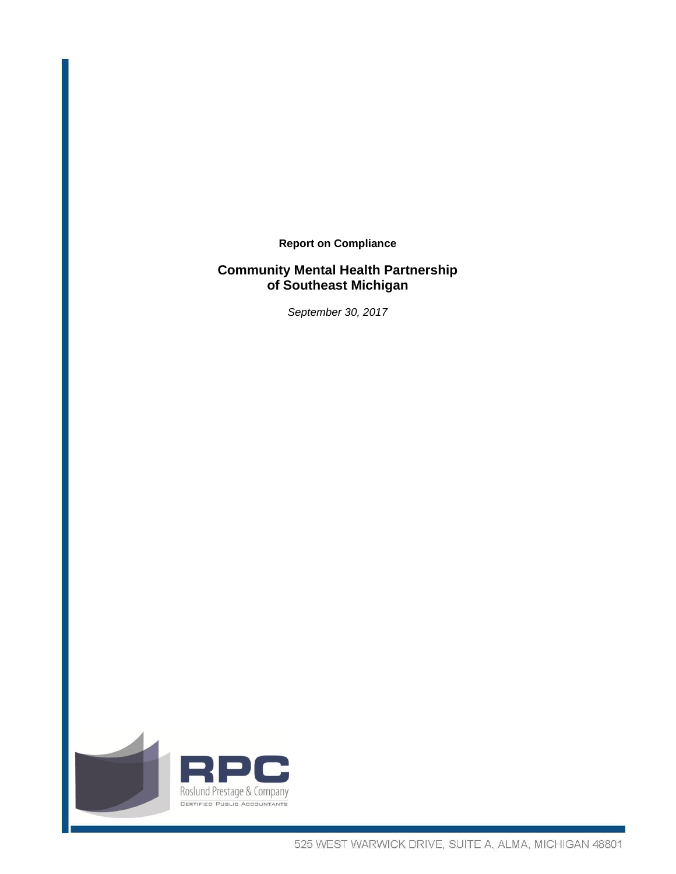**Report on Compliance** 

# **Community Mental Health Partnership of Southeast Michigan**

*September 30, 2017* 

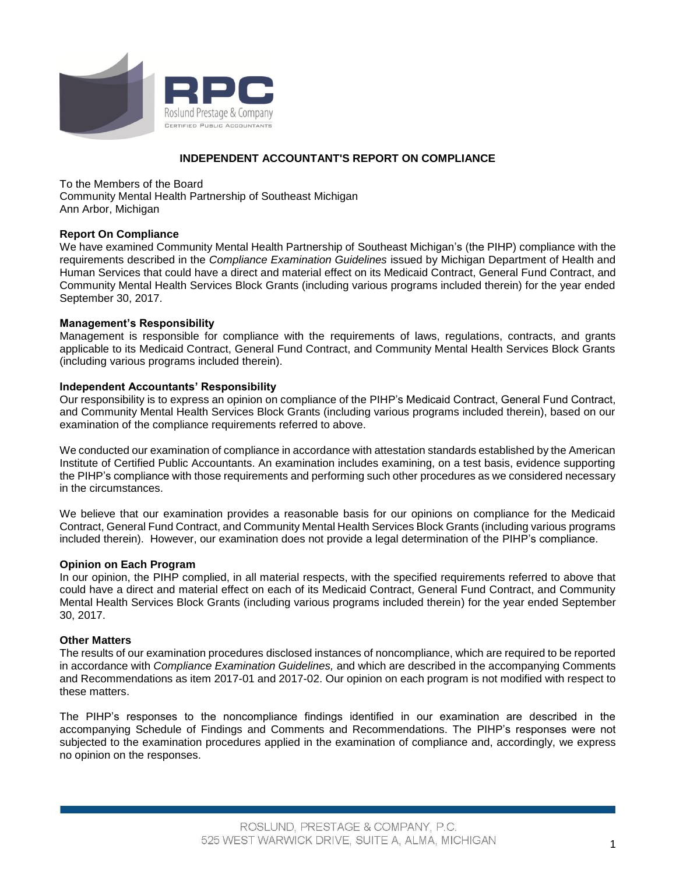

# **INDEPENDENT ACCOUNTANT'S REPORT ON COMPLIANCE**

To the Members of the Board Community Mental Health Partnership of Southeast Michigan Ann Arbor, Michigan

# **Report On Compliance**

We have examined Community Mental Health Partnership of Southeast Michigan's (the PIHP) compliance with the requirements described in the *Compliance Examination Guidelines* issued by Michigan Department of Health and Human Services that could have a direct and material effect on its Medicaid Contract, General Fund Contract, and Community Mental Health Services Block Grants (including various programs included therein) for the year ended September 30, 2017.

# **Management's Responsibility**

Management is responsible for compliance with the requirements of laws, regulations, contracts, and grants applicable to its Medicaid Contract, General Fund Contract, and Community Mental Health Services Block Grants (including various programs included therein).

## **Independent Accountants' Responsibility**

Our responsibility is to express an opinion on compliance of the PIHP's Medicaid Contract, General Fund Contract, and Community Mental Health Services Block Grants (including various programs included therein), based on our examination of the compliance requirements referred to above.

We conducted our examination of compliance in accordance with attestation standards established by the American Institute of Certified Public Accountants. An examination includes examining, on a test basis, evidence supporting the PIHP's compliance with those requirements and performing such other procedures as we considered necessary in the circumstances.

We believe that our examination provides a reasonable basis for our opinions on compliance for the Medicaid Contract, General Fund Contract, and Community Mental Health Services Block Grants (including various programs included therein). However, our examination does not provide a legal determination of the PIHP's compliance.

## **Opinion on Each Program**

In our opinion, the PIHP complied, in all material respects, with the specified requirements referred to above that could have a direct and material effect on each of its Medicaid Contract, General Fund Contract, and Community Mental Health Services Block Grants (including various programs included therein) for the year ended September 30, 2017.

## **Other Matters**

The results of our examination procedures disclosed instances of noncompliance, which are required to be reported in accordance with *Compliance Examination Guidelines,* and which are described in the accompanying Comments and Recommendations as item 2017-01 and 2017-02. Our opinion on each program is not modified with respect to these matters.

The PIHP's responses to the noncompliance findings identified in our examination are described in the accompanying Schedule of Findings and Comments and Recommendations. The PIHP's responses were not subjected to the examination procedures applied in the examination of compliance and, accordingly, we express no opinion on the responses.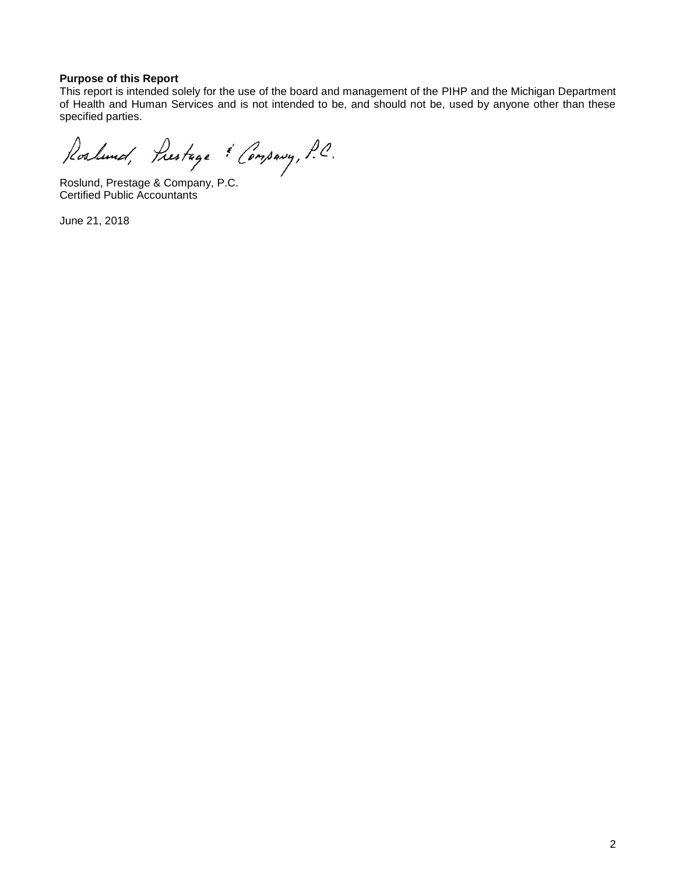# **Purpose of this Report**

This report is intended solely for the use of the board and management of the PIHP and the Michigan Department of Health and Human Services and is not intended to be, and should not be, used by anyone other than these specified parties.

Roslund, Prestage & Company, P.C.

Roslund, Prestage & Company, P.C. Certified Public Accountants

June 21, 2018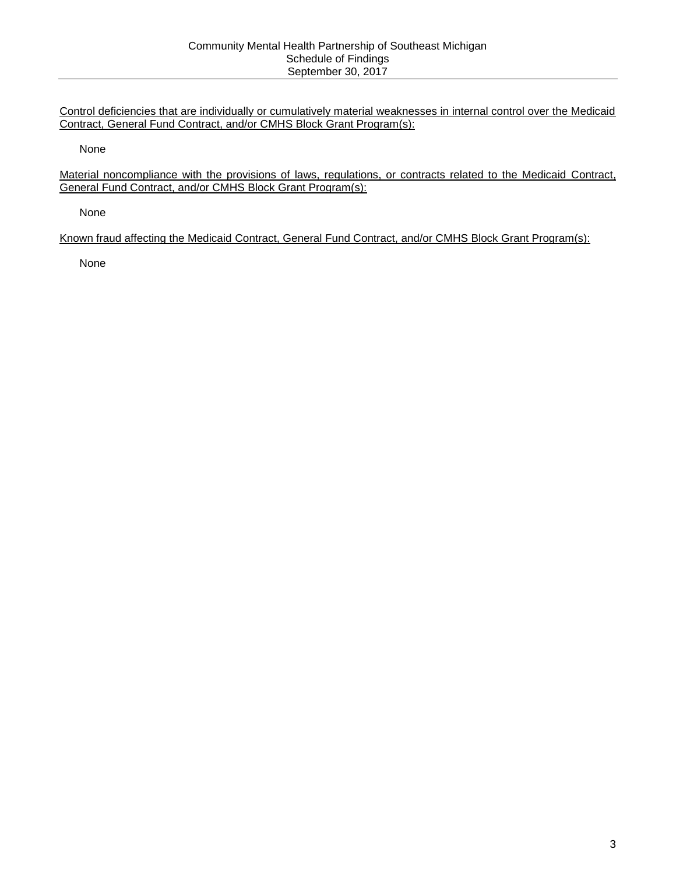Control deficiencies that are individually or cumulatively material weaknesses in internal control over the Medicaid Contract, General Fund Contract, and/or CMHS Block Grant Program(s):

None

Material noncompliance with the provisions of laws, regulations, or contracts related to the Medicaid Contract, General Fund Contract, and/or CMHS Block Grant Program(s):

None

Known fraud affecting the Medicaid Contract, General Fund Contract, and/or CMHS Block Grant Program(s):

None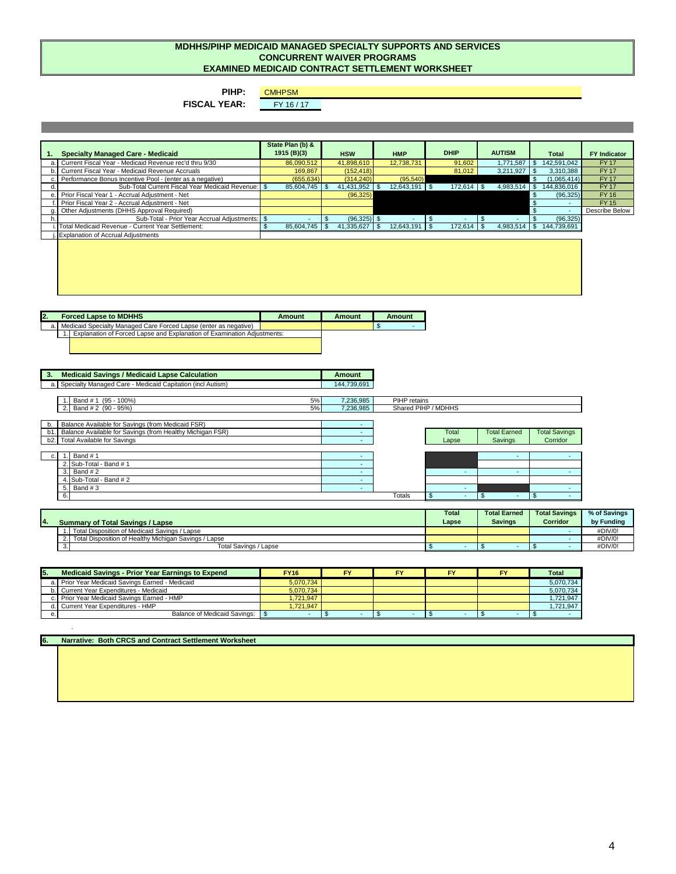#### **MDHHS/PIHP MEDICAID MANAGED SPECIALTY SUPPORTS AND SERVICES CONCURRENT WAIVER PROGRAMS EXAMINED MEDICAID CONTRACT SETTLEMENT WORKSHEET**

#### **PIHP:**

CMHPSM<br>FY 16 / 17

**FISCAL YEAR:** 

|                                                                                                                                                   | State Plan (b) &       |                               |                 | <b>DHIP</b>              | <b>AUTISM</b>            |                             |                     |  |  |
|---------------------------------------------------------------------------------------------------------------------------------------------------|------------------------|-------------------------------|-----------------|--------------------------|--------------------------|-----------------------------|---------------------|--|--|
| <b>Specialty Managed Care - Medicaid</b><br>1.                                                                                                    | 1915 (B)(3)            | <b>HSW</b>                    | <b>HMP</b>      |                          |                          | <b>Total</b>                | <b>FY Indicator</b> |  |  |
| Current Fiscal Year - Medicaid Revenue rec'd thru 9/30<br>a.                                                                                      | 86,090,512             | 41,898,610                    | 12,738,731      | 91.602                   |                          | 1,771,587 \$ 142,591,042    | <b>FY17</b>         |  |  |
| Current Fiscal Year - Medicaid Revenue Accruals<br>b.                                                                                             | 169,867                | (152, 418)                    |                 | 81,012                   | $3,211,927$ \$           | 3,310,388                   | <b>FY17</b>         |  |  |
| Performance Bonus Incentive Pool - (enter as a negative)<br>c.                                                                                    | (655, 634)             | (314, 240)                    | (95, 540)       |                          |                          | $\mathbb{S}$<br>(1,065,414) | <b>FY17</b>         |  |  |
| Sub-Total Current Fiscal Year Medicaid Revenue: S<br>d.                                                                                           | 85,604,745             | 41,431,952 \$<br>$\mathbb{S}$ | 12,643,191 \$   | 172,614 \$               | $4,983,514$ \$           | 144,836,016                 | <b>FY17</b>         |  |  |
| Prior Fiscal Year 1 - Accrual Adjustment - Net<br>e.                                                                                              |                        | (96, 325)                     |                 |                          |                          | $\mathbb{S}$<br>(96, 325)   | <b>FY16</b>         |  |  |
| Prior Fiscal Year 2 - Accrual Adjustment - Net                                                                                                    |                        |                               |                 |                          |                          | $\mathbb{S}$                | <b>FY15</b>         |  |  |
| Other Adjustments (DHHS Approval Required)                                                                                                        |                        |                               |                 |                          |                          | $\mathbf{s}$<br>$\omega$    | Describe Below      |  |  |
| Sub-Total - Prior Year Accrual Adjustments: \$<br>h.                                                                                              |                        | $(96,325)$ \$<br>\$           | $\sim$          | $\mathfrak{s}$<br>$\sim$ | $\mathfrak{s}$           | (96, 325)<br>$\mathbb{S}$   |                     |  |  |
| Total Medicaid Revenue - Current Year Settlement:                                                                                                 | 85,604,745<br><b>S</b> | $\mathbb{S}$<br>41,335,627 \$ | $12,643,191$ \$ | $172,614$ \$             |                          | 4,983,514 \$ 144,739,691    |                     |  |  |
| <b>Explanation of Accrual Adjustments</b>                                                                                                         |                        |                               |                 |                          |                          |                             |                     |  |  |
|                                                                                                                                                   |                        |                               |                 |                          |                          |                             |                     |  |  |
| <b>Forced Lapse to MDHHS</b><br>12.                                                                                                               | <b>Amount</b>          | <b>Amount</b>                 | <b>Amount</b>   |                          |                          |                             |                     |  |  |
| Medicaid Specialty Managed Care Forced Lapse (enter as negative)<br>a.<br>Explanation of Forced Lapse and Explanation of Examination Adjustments: |                        |                               | $\mathbf{s}$    |                          |                          |                             |                     |  |  |
|                                                                                                                                                   |                        |                               |                 |                          |                          |                             |                     |  |  |
| <b>Medicaid Savings / Medicaid Lapse Calculation</b><br>3.                                                                                        |                        | <b>Amount</b>                 |                 |                          |                          |                             |                     |  |  |
| Specialty Managed Care - Medicaid Capitation (incl Autism)<br>a.                                                                                  |                        | 144,739,691                   |                 |                          |                          |                             |                     |  |  |
|                                                                                                                                                   |                        |                               |                 |                          |                          |                             |                     |  |  |
| Band # 1 (95 - 100%)                                                                                                                              | 5%                     | 7,236,985                     | PIHP retains    |                          |                          |                             |                     |  |  |
| Band # 2 (90 - 95%)                                                                                                                               | 5%                     | 7,236,985                     |                 | Shared PIHP / MDHHS      |                          |                             |                     |  |  |
|                                                                                                                                                   |                        |                               |                 |                          |                          |                             |                     |  |  |
| Balance Available for Savings (from Medicaid FSR)<br>b.                                                                                           |                        | $\sim$                        |                 |                          |                          |                             |                     |  |  |
| Balance Available for Savings (from Healthy Michigan FSR)<br>b1.                                                                                  |                        | $\sim$                        |                 | Total                    | <b>Total Earned</b>      | <b>Total Savings</b>        |                     |  |  |
| <b>Total Available for Savings</b><br>b2.                                                                                                         |                        | ÷.                            |                 | Lapse                    | Savings                  | Corridor                    |                     |  |  |
|                                                                                                                                                   |                        |                               |                 |                          |                          |                             |                     |  |  |
| Band #1<br>1.<br>c.                                                                                                                               |                        | $\sim$                        |                 |                          | $\sim$                   | $\blacksquare$              |                     |  |  |
| 2. Sub-Total - Band # 1                                                                                                                           |                        | $\sim$                        |                 |                          |                          |                             |                     |  |  |
| Band #2<br>3.                                                                                                                                     |                        | $\sim$                        |                 | $\sim$                   | $\omega$                 | $\omega$                    |                     |  |  |
| Sub-Total - Band # 2<br>4.                                                                                                                        |                        | $\sim$                        |                 |                          |                          |                             |                     |  |  |
| Band #3<br>5.                                                                                                                                     |                        | $\sim$                        |                 | $\sim$                   |                          | $\sim$                      |                     |  |  |
| 6.                                                                                                                                                |                        |                               | Totals          | $\sim$                   | $\mathfrak{s}$<br>$\sim$ | န<br>$\sim$                 |                     |  |  |
|                                                                                                                                                   |                        |                               |                 |                          |                          |                             |                     |  |  |
| <b>Total</b><br><b>Total Earned</b><br><b>Total Savings</b><br>% of Savings<br><b>4.</b><br>Corridor<br>Lapse<br><b>Savings</b>                   |                        |                               |                 |                          |                          |                             |                     |  |  |
| <b>Summary of Total Savings / Lapse</b>                                                                                                           |                        |                               |                 |                          |                          |                             | by Funding          |  |  |
| 1. Total Disposition of Medicaid Savings / Lapse                                                                                                  |                        |                               |                 |                          |                          | $\sim$                      | #DIV/0!             |  |  |

2. - #DIV/0! 3. \$ - \$ - \$ - #DIV/0! Total Disposition of Healthy Michigan Savings / Lapse Total Savings / Lapse

| <b>Medicaid Savings - Prior Year Earnings to Expend</b> |                                                  | <b>FY16</b> | EV | FY | Total     |
|---------------------------------------------------------|--------------------------------------------------|-------------|----|----|-----------|
|                                                         | a. Prior Year Medicaid Savings Earned - Medicaid | 5.070.734   |    |    | 5.070.734 |
|                                                         | Current Year Expenditures - Medicaid             | 5,070,734   |    |    | 5,070,734 |
|                                                         | c. Prior Year Medicaid Savings Earned - HMP      | .721.947    |    |    | 1.721.947 |
|                                                         | Current Year Expenditures - HMP                  | 1.721.947   |    |    | 1.721.947 |
|                                                         | Balance of Medicaid Savings: \§                  |             |    |    |           |

**6. Narrative: Both CRCS and Contract Settlement Worksheet** 

`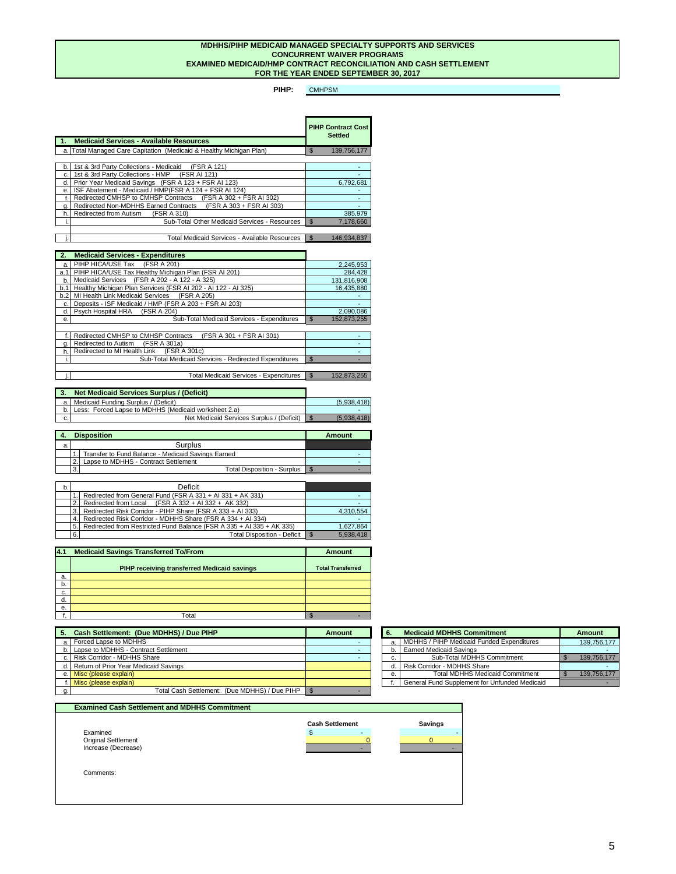#### **FOR THE YEAR ENDED SEPTEMBER 30, 2017 MDHHS/PIHP MEDICAID MANAGED SPECIALTY SUPPORTS AND SERVICES CONCURRENT WAIVER PROGRAMS EXAMINED MEDICAID/HMP CONTRACT RECONCILIATION AND CASH SETTLEMENT**

**PIHP:**  CMHPSM

| 1.          | <b>Medicaid Services - Available Resources</b>                                                            | <b>PIHP Contract Cost</b><br><b>Settled</b> |
|-------------|-----------------------------------------------------------------------------------------------------------|---------------------------------------------|
|             |                                                                                                           |                                             |
| a.          | Total Managed Care Capitation (Medicaid & Healthy Michigan Plan)                                          | $\mathsf{\$}$<br>139,756,177                |
|             |                                                                                                           |                                             |
| b.          | 1st & 3rd Party Collections - Medicaid<br>(FSR A 121)                                                     | ٠                                           |
| c.<br>d.    | 1st & 3rd Party Collections - HMP<br>(FSR AI 121)<br>Prior Year Medicaid Savings (FSR A 123 + FSR AI 123) |                                             |
|             | ISF Abatement - Medicaid / HMP(FSR A 124 + FSR AI 124)                                                    | 6,792,681                                   |
| e.<br>f.    | Redirected CMHSP to CMHSP Contracts<br>(FSR A 302 + FSR AI 302)                                           |                                             |
| α.          | (FSR A 303 + FSR AI 303)<br>Redirected Non-MDHHS Earned Contracts                                         |                                             |
| h.          | Redirected from Autism<br>(FSR A 310)                                                                     | 385,979                                     |
| j.          | Sub-Total Other Medicaid Services - Resources                                                             | $\mathfrak{L}$<br>7,178,660                 |
|             |                                                                                                           |                                             |
|             | Total Medicaid Services - Available Resources                                                             | $\mathfrak{S}$<br>146,934,837               |
|             |                                                                                                           |                                             |
| 2.          | <b>Medicaid Services - Expenditures</b>                                                                   |                                             |
|             |                                                                                                           |                                             |
| a.<br>a.1   | PIHP HICA/USE Tax<br>(FSR A 201)<br>PIHP HICA/USE Tax Healthy Michigan Plan (FSR AI 201)                  | 2,245,953<br>284.428                        |
| b.          | Medicaid Services (FSR A 202 - A 122 - A 325)                                                             | 131.816.908                                 |
| b.1         | Healthy Michigan Plan Services (FSR AI 202 - AI 122 - AI 325)                                             | 16,435,880                                  |
| h.2         | MI Health Link Medicaid Services<br>(FSR A 205)                                                           |                                             |
| c.          | Deposits - ISF Medicaid / HMP (FSR A 203 + FSR AI 203)                                                    |                                             |
| d.          | Psych Hospital HRA<br>(FSR A 204)                                                                         | 2,090,086                                   |
| e.          | Sub-Total Medicaid Services - Expenditures                                                                | $\mathbb{S}$<br>152,873,255                 |
|             |                                                                                                           |                                             |
| $f_{\cdot}$ | Redirected CMHSP to CMHSP Contracts<br>(FSR A 301 + FSR AI 301)                                           |                                             |
| α.          | Redirected to Autism (FSR A 301a)                                                                         |                                             |
| h.          | Redirected to MI Health Link<br>(FSR A 301c)                                                              |                                             |
| i.          | Sub-Total Medicaid Services - Redirected Expenditures                                                     | $\overline{\mathbb{S}}$                     |
|             |                                                                                                           |                                             |
|             | <b>Total Medicaid Services - Expenditures</b>                                                             | $\mathbb{S}$<br>152,873,255                 |
|             |                                                                                                           |                                             |
| 3.          | <b>Net Medicaid Services Surplus / (Deficit)</b>                                                          |                                             |
| a.          | Medicaid Funding Surplus / (Deficit)                                                                      | (5,938,418)                                 |
| b.          | Less: Forced Lapse to MDHHS (Medicaid worksheet 2.a)                                                      |                                             |
| c.          | Net Medicaid Services Surplus / (Deficit)                                                                 | $\mathbb{S}$<br>(5,938,418)                 |

|   | <b>Disposition</b>                                 | Amount |
|---|----------------------------------------------------|--------|
| a | Surplus                                            |        |
|   | Transfer to Fund Balance - Medicaid Savings Earned |        |
|   | Lapse to MDHHS - Contract Settlement               |        |
|   | <b>Total Disposition - Surplus</b><br>- 3.         |        |

| b. |                | Deficit                                                               |           |
|----|----------------|-----------------------------------------------------------------------|-----------|
|    |                | 1. Redirected from General Fund (FSR A 331 + AI 331 + AK 331)         |           |
|    | 2 <sup>1</sup> | Redirected from Local $(FSR A 332 + AI 332 + AK 332)$                 |           |
|    | 3.1            | Redirected Risk Corridor - PIHP Share (FSR A 333 + AI 333)            | 4.310.554 |
|    |                | 4. Redirected Risk Corridor - MDHHS Share (FSR A 334 + AI 334)        |           |
|    | 5.1            | Redirected from Restricted Fund Balance (FSR A 335 + AI 335 + AK 335) | 1.627.864 |
|    | 6.             | <b>Total Disposition - Deficit</b>                                    | 5.938.418 |

| 4.1 | <b>Medicaid Savings Transferred To/From</b>        | Amount                   |
|-----|----------------------------------------------------|--------------------------|
|     | <b>PIHP receiving transferred Medicaid savings</b> | <b>Total Transferred</b> |
| a.  |                                                    |                          |
| b.  |                                                    |                          |
| c.  |                                                    |                          |
| d.  |                                                    |                          |
| е.  |                                                    |                          |
|     | Total                                              |                          |

| Cash Settlement: (Due MDHHS) / Due PIHP            | Amount | <b>Medicaid MDHHS Commitment</b><br>6. |                                               |  | Amount      |
|----------------------------------------------------|--------|----------------------------------------|-----------------------------------------------|--|-------------|
| a. Forced Lapse to MDHHS                           |        |                                        | a. MDHHS / PIHP Medicaid Funded Expenditures  |  | 139.756.177 |
| b. Lapse to MDHHS - Contract Settlement            |        |                                        | Earned Medicaid Savings                       |  |             |
| c. Risk Corridor - MDHHS Share                     |        |                                        | Sub-Total MDHHS Commitment                    |  | 139.756.177 |
| d. Return of Prior Year Medicaid Savings           |        |                                        | d. Risk Corridor - MDHHS Share                |  |             |
| e. Misc (please explain)                           |        |                                        | <b>Total MDHHS Medicaid Commitment</b>        |  | 139.756.177 |
| f. Misc (please explain)                           |        |                                        | General Fund Supplement for Unfunded Medicaid |  |             |
| Total Cash Settlement: (Due MDHHS) / Due PIHP \ \$ |        |                                        |                                               |  |             |

| 6. | <b>Medicaid MDHHS Commitment</b>              | Amount      |
|----|-----------------------------------------------|-------------|
| a. | MDHHS / PIHP Medicaid Funded Expenditures     | 139,756,177 |
| b. | <b>Earned Medicaid Savings</b>                |             |
| c. | Sub-Total MDHHS Commitment                    | 139,756,177 |
| d. | Risk Corridor - MDHHS Share                   |             |
| е. | <b>Total MDHHS Medicaid Commitment</b>        | 139,756,177 |
|    | General Fund Supplement for Unfunded Medicaid |             |

#### **Examined Cash Settlement and MDHHS Commitment**

| Examined                   |
|----------------------------|
| <b>Original Settlement</b> |
| Increase (Decrease)        |
|                            |



Comments: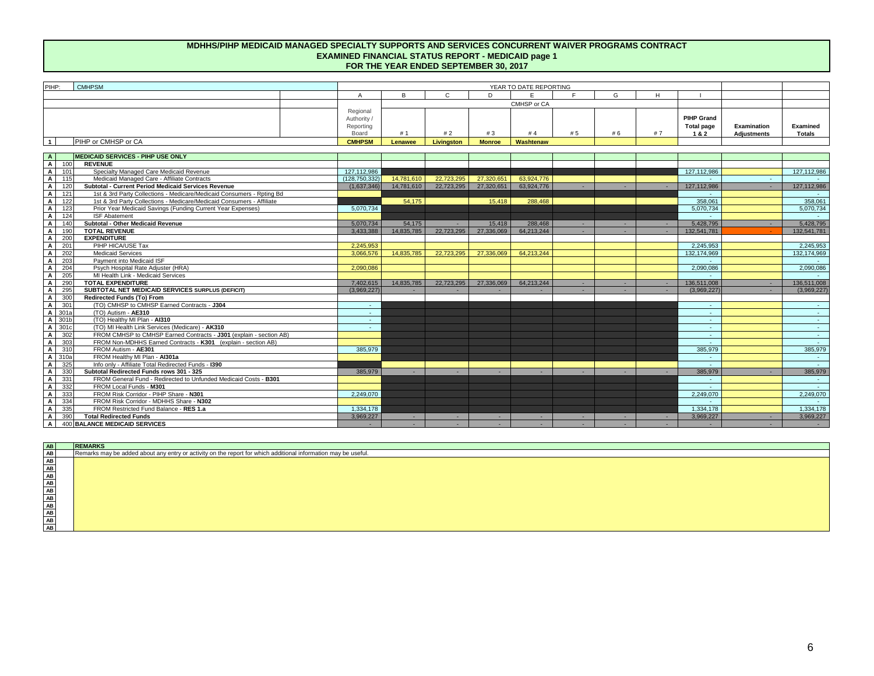#### **MDHHS/PIHP MEDICAID MANAGED SPECIALTY SUPPORTS AND SERVICES CONCURRENT WAIVER PROGRAMS CONTRACT EXAMINED FINANCIAL STATUS REPORT - MEDICAID page 1 FOR THE YEAR ENDED SEPTEMBER 30, 2017**

| PIHP:<br><b>CMHPSM</b> |                     |  |                                             | YEAR TO DATE REPORTING |            |               |           |     |    |    |                                        |                            |
|------------------------|---------------------|--|---------------------------------------------|------------------------|------------|---------------|-----------|-----|----|----|----------------------------------------|----------------------------|
|                        |                     |  |                                             | Ð<br>ь.                |            |               |           |     |    |    |                                        |                            |
|                        |                     |  |                                             | CMHSP or CA            |            |               |           |     |    |    |                                        |                            |
|                        |                     |  | Regional<br>Authority<br>Reporting<br>Board | # 1                    | #2         | #3            | #4        | # 5 | #6 | #7 | <b>PIHP Grand</b><br>Total page<br>1&2 | Examination<br>Adjustments |
|                        | PIHP or CMHSP or CA |  | <b>CMHPSM</b>                               | Lenawee                | Livingston | <b>Monroe</b> | Washtenaw |     |    |    |                                        |                            |
|                        |                     |  |                                             |                        |            |               |           |     |    |    |                                        |                            |

| $\overline{A}$                                         |        | <b>MEDICAID SERVICES - PIHP USE ONLY</b>                              |               |            |            |            |            |    |     |               |          |                 |
|--------------------------------------------------------|--------|-----------------------------------------------------------------------|---------------|------------|------------|------------|------------|----|-----|---------------|----------|-----------------|
| $\overline{A}$                                         | 100    | <b>REVENUE</b>                                                        |               |            |            |            |            |    |     |               |          |                 |
| $\overline{A}$                                         | 101    | Specialty Managed Care Medicaid Revenue                               | 127,112,986   |            |            |            |            |    |     | 127.112.986   |          | 127,112,986     |
| A                                                      | 115    | Medicaid Managed Care - Affiliate Contracts                           | (128.750.332) | 14.781.610 | 22.723.295 | 27.320.651 | 63.924.776 |    |     |               | $\sim$   |                 |
| A                                                      | 120    | Subtotal - Current Period Medicaid Services Revenue                   | (1.637.346)   | 14,781,610 | 22.723.295 | 27.320.651 | 63,924,776 | ٠  | ٠   | 127.112.986   | <b>.</b> | 127,112,986     |
| A                                                      | 121    | 1st & 3rd Party Collections - Medicare/Medicaid Consumers - Roting Bd |               |            |            |            |            |    |     |               |          |                 |
| A                                                      | 122    | 1st & 3rd Party Collections - Medicare/Medicaid Consumers - Affiliate |               | 54.175     |            | 15.418     | 288,468    |    |     | 358,061       |          | 358,061         |
| A                                                      | 123    | Prior Year Medicaid Savings (Funding Current Year Expenses)           | 5.070.734     |            |            |            |            |    |     | 5.070.734     |          | 5.070.734       |
| $\overline{A}$                                         | 124    | <b>ISF Abatement</b>                                                  |               |            |            |            |            |    |     |               |          |                 |
| $\overline{A}$                                         | 140    | Subtotal - Other Medicaid Revenue                                     | 5.070.734     | 54,175     | a.         | 15,418     | 288,468    |    |     | 5.428.795     |          | 5,428,795       |
| A                                                      | 190    | <b>TOTAL REVENUE</b>                                                  | 3.433.388     | 14,835,785 | 22,723,295 | 27,336,069 | 64,213,244 |    | ×.  | 132,541,781   |          | 132,541,781     |
| A                                                      | 200    | <b>EXPENDITURE</b>                                                    |               |            |            |            |            |    |     |               |          |                 |
| $\overline{A}$                                         | 201    | PIHP HICA/USE Tax                                                     | 2.245.953     |            |            |            |            |    |     | 2.245.953     |          | 2,245,953       |
| A                                                      | 202    | <b>Medicaid Services</b>                                              | 3.066.576     | 14,835,785 | 22.723.295 | 27,336,069 | 64.213.244 |    |     | 132, 174, 969 |          | 132, 174, 969   |
| A                                                      | 203    | Payment into Medicaid ISF                                             |               |            |            |            |            |    |     |               |          |                 |
| $\overline{A}$                                         | 204    | Psych Hospital Rate Adiuster (HRA)                                    | 2,090,086     |            |            |            |            |    |     | 2.090.086     |          | 2,090,086       |
| A                                                      | 205    | MI Health Link - Medicaid Services                                    |               |            |            |            |            |    |     |               |          |                 |
| A                                                      | 290    | <b>TOTAL EXPENDITURE</b>                                              | 7.402.615     | 14,835,785 | 22,723,295 | 27,336,069 | 64.213.244 | ۰. | . . | 136,511,008   | <b>.</b> | 136,511,008     |
| A                                                      | 295    | SUBTOTAL NET MEDICAID SERVICES SURPLUS (DEFICIT)                      | (3.969.227)   |            |            |            |            |    |     | (3.969.227)   |          | (3,969,227)     |
| A                                                      | 300    | <b>Redirected Funds (To) From</b>                                     |               |            |            |            |            |    |     |               |          |                 |
| $\mathbf{A}$                                           | 301    | (TO) CMHSP to CMHSP Earned Contracts - J304                           | ۰.            |            |            |            |            |    |     |               |          | $\sim$          |
| $\overline{A}$                                         | 301a   | (TO) Autism - AE310                                                   |               |            |            |            |            |    |     |               |          |                 |
|                                                        | A 301b | (TO) Healthy MI Plan - AI310                                          | $\sim$        |            |            |            |            |    |     |               |          |                 |
| $\overline{A}$                                         | 301c   | (TO) MI Health Link Services (Medicare) - AK310                       | $\sim$        |            |            |            |            |    |     |               |          |                 |
| $\begin{array}{c}\nA \\ A \\ \hline\nA\n\end{array}$   | 302    | FROM CMHSP to CMHSP Earned Contracts - J301 (explain - section AB)    |               |            |            |            |            |    |     |               |          |                 |
|                                                        | 303    | FROM Non-MDHHS Earned Contracts - K301 (explain - section AB)         |               |            |            |            |            |    |     |               |          |                 |
|                                                        | 310    | FROM Autism - AE301                                                   | 385,979       |            |            |            |            |    |     | 385,979       |          | 385,979         |
|                                                        | A 310a | FROM Healthy MI Plan - AI301a                                         |               |            |            |            |            |    |     |               |          |                 |
| $\overline{A}$                                         | 325    | Info only - Affiliate Total Redirected Funds - 1390                   |               |            |            |            |            |    |     |               |          |                 |
| $\mathbf{A}$                                           | 330    | Subtotal Redirected Funds rows 301 - 325                              | 385,979       |            |            |            |            |    |     | 385,979       |          | 385,979         |
|                                                        | 331    | FROM General Fund - Redirected to Unfunded Medicaid Costs - B301      |               |            |            |            |            |    |     |               |          |                 |
|                                                        | 332    | FROM Local Funds - M301                                               |               |            |            |            |            |    |     |               |          | <b>Contract</b> |
| $\begin{array}{c}\nA \\ A \\ A \\ A \\ A\n\end{array}$ | 333    | FROM Risk Corridor - PIHP Share - N301                                | 2.249.070     |            |            |            |            |    |     | 2.249.070     |          | 2,249,070       |
|                                                        | 334    | FROM Risk Corridor - MDHHS Share - N302                               |               |            |            |            |            |    |     |               |          |                 |
|                                                        | 335    | FROM Restricted Fund Balance - RES 1.a                                | 1,334,178     |            |            |            |            |    |     | 1.334.178     |          | 1.334.178       |
| $\overline{A}$                                         | 390    | <b>Total Redirected Funds</b>                                         | 3,969,227     |            |            |            |            |    |     | 3,969,227     |          | 3,969,227       |
| $\overline{A}$                                         |        | 400 BALANCE MEDICAID SERVICES                                         |               |            |            |            |            |    |     |               |          |                 |

| <b>AB</b>           | REMARKS                                                                                                        |
|---------------------|----------------------------------------------------------------------------------------------------------------|
| <b>AB</b>           | Remarks may be added about any entry or activity on the report for which additional information may be useful. |
|                     |                                                                                                                |
|                     |                                                                                                                |
|                     |                                                                                                                |
|                     |                                                                                                                |
|                     |                                                                                                                |
|                     |                                                                                                                |
|                     |                                                                                                                |
|                     |                                                                                                                |
|                     |                                                                                                                |
| 원 열 열 열 열 열 열 열 열 역 |                                                                                                                |
|                     |                                                                                                                |

**Examined Totals**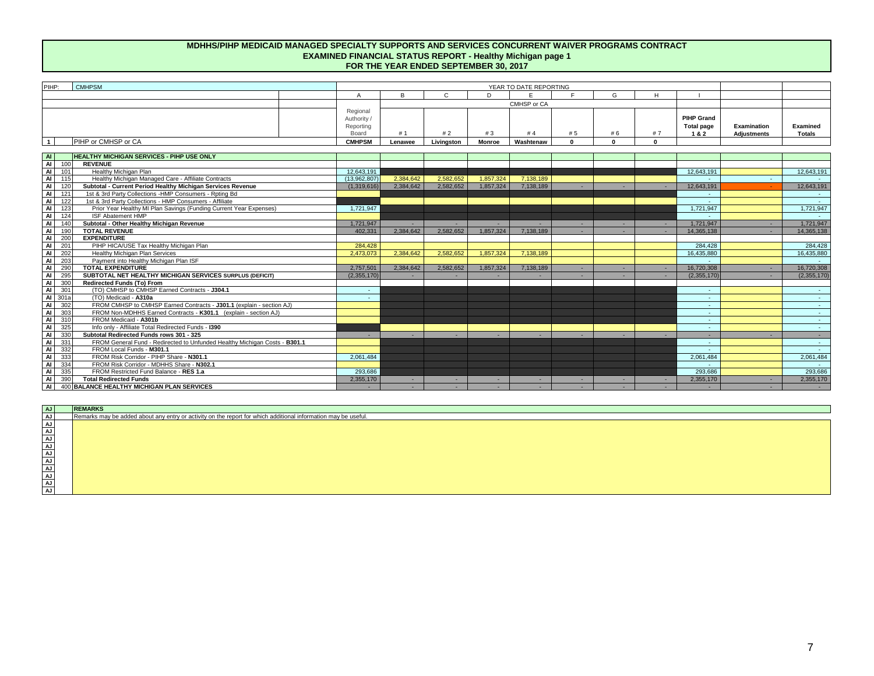#### **MDHHS/PIHP MEDICAID MANAGED SPECIALTY SUPPORTS AND SERVICES CONCURRENT WAIVER PROGRAMS CONTRACT EXAMINED FINANCIAL STATUS REPORT - Healthy Michigan page 1 FOR THE YEAR ENDED SEPTEMBER 30, 2017**

| PIHP:                 | <b>CMHPSM</b>                                                              |                                               |           |            |               | YEAR TO DATE REPORTING |              |              |          |                                               |                                          |                           |
|-----------------------|----------------------------------------------------------------------------|-----------------------------------------------|-----------|------------|---------------|------------------------|--------------|--------------|----------|-----------------------------------------------|------------------------------------------|---------------------------|
|                       |                                                                            |                                               | R         | C.         | D             | $\blacksquare$         | $\mathbf{r}$ | G            | H        |                                               |                                          |                           |
|                       |                                                                            |                                               |           |            |               | CMHSP or CA            |              |              |          |                                               |                                          |                           |
|                       |                                                                            | Regional<br>Authority /<br>Reporting<br>Board | #1        | #2         | #3            | #4                     | #5           | #6           | #7       | <b>PIHP Grand</b><br><b>Total page</b><br>1&2 | <b>Examination</b><br><b>Adjustments</b> | Examined<br><b>Totals</b> |
| $\overline{1}$        | PIHP or CMHSP or CA                                                        | <b>CMHPSM</b>                                 | Lenawee   | Livingston | <b>Monroe</b> | Washtenaw              | $\mathbf{0}$ | $\mathbf{0}$ | $\Omega$ |                                               |                                          |                           |
|                       |                                                                            |                                               |           |            |               |                        |              |              |          |                                               |                                          |                           |
| <b>AI</b>             | <b>HEALTHY MICHIGAN SERVICES - PIHP USE ONLY</b>                           |                                               |           |            |               |                        |              |              |          |                                               |                                          |                           |
| $\overline{A}$<br>100 | <b>REVENUE</b>                                                             |                                               |           |            |               |                        |              |              |          |                                               |                                          |                           |
| $\overline{A}$<br>101 | Healthy Michigan Plan                                                      | 12.643.191                                    |           |            |               |                        |              |              |          | 12.643.191                                    |                                          | 12.643.191                |
| $\overline{A}$<br>115 | Healthy Michigan Managed Care - Affiliate Contracts                        | (13.962.807)                                  | 2.384.642 | 2.582.652  | 1.857.324     | 7.138.189              |              |              |          |                                               |                                          |                           |
| $\overline{a}$<br>120 | Subtotal - Current Period Healthy Michigan Services Revenue                | (1.319.616)                                   | 2,384,642 | 2.582.652  | 1.857.324     | 7,138,189              |              |              |          | 12.643.191                                    |                                          | 12,643,191                |
| $\overline{a}$<br>121 | 1st & 3rd Party Collections -HMP Consumers - Rpting Bd                     |                                               |           |            |               |                        |              |              |          |                                               |                                          |                           |
| $\overline{a}$<br>122 | 1st & 3rd Party Collections - HMP Consumers - Affiliate                    |                                               |           |            |               |                        |              |              |          |                                               |                                          | $\sim$                    |
| <b>AI</b><br>123      | Prior Year Healthy MI Plan Savings (Funding Current Year Expenses)         | 1,721,947                                     |           |            |               |                        |              |              |          | 1,721,947                                     |                                          | 1,721,947                 |
| <b>AI</b><br>124      | <b>ISF Abatement HMP</b>                                                   |                                               |           |            |               |                        |              |              |          |                                               |                                          |                           |
| <b>AI</b><br>140      | Subtotal - Other Healthy Michigan Revenue                                  | 1.721.947                                     |           |            |               |                        |              |              |          | 1.721.947                                     |                                          | 1,721,947                 |
| <b>AI</b><br>190      | <b>TOTAL REVENUE</b>                                                       | 402.331                                       | 2,384,642 | 2,582,652  | 1,857,324     | 7,138,189              |              |              |          | 14,365,138                                    |                                          | 14,365,138                |
| <b>AI</b><br>200      | <b>EXPENDITURE</b>                                                         |                                               |           |            |               |                        |              |              |          |                                               |                                          |                           |
| <b>AI</b><br>201      | PIHP HICA/USE Tax Healthy Michigan Plan                                    | 284.428                                       |           |            |               |                        |              |              |          | 284.428                                       |                                          | 284.428                   |
| <b>AI</b><br>202      | Healthy Michigan Plan Services                                             | 2.473.073                                     | 2.384.642 | 2.582.652  | 1.857.324     | 7.138.189              |              |              |          | 16.435.880                                    |                                          | 16,435,880                |
| <b>AI</b><br>203      | Payment into Healthy Michigan Plan ISF                                     |                                               |           |            |               |                        |              |              |          |                                               |                                          |                           |
| <b>AI</b><br>290      | <b>TOTAL EXPENDITURE</b>                                                   | 2.757.501                                     | 2.384.642 | 2.582.652  | 1.857.324     | 7.138.189              |              |              |          | 16,720,308                                    |                                          | 16,720,308                |
| $\overline{a}$<br>295 | SUBTOTAL NET HEALTHY MICHIGAN SERVICES SURPLUS (DEFICIT)                   | (2,355,170)                                   |           |            |               |                        |              |              |          | (2,355,170)                                   |                                          | (2,355,170)               |
| <b>AI</b><br>300      | Redirected Funds (To) From                                                 |                                               |           |            |               |                        |              |              |          |                                               |                                          |                           |
| <b>AI</b><br>301      | (TO) CMHSP to CMHSP Earned Contracts - J304.1                              | $\sim$                                        |           |            |               |                        |              |              |          | ٠                                             |                                          | $\sim$                    |
| <b>AI</b><br>301a     | (TO) Medicaid - A310a                                                      | $\sim$                                        |           |            |               |                        |              |              |          | $\sim$                                        |                                          | $\sim$                    |
| $\overline{A}$<br>302 | FROM CMHSP to CMHSP Earned Contracts - J301.1 (explain - section AJ)       |                                               |           |            |               |                        |              |              |          |                                               |                                          |                           |
| <b>AI</b><br>303      | FROM Non-MDHHS Earned Contracts - K301.1 (explain - section AJ)            |                                               |           |            |               |                        |              |              |          | $\sim$                                        |                                          | $\sim$                    |
| <b>AI</b><br>310      | FROM Medicaid - A301b                                                      |                                               |           |            |               |                        |              |              |          | $\sim$                                        |                                          |                           |
| <b>AI</b><br>325      | Info only - Affiliate Total Redirected Funds - 1390                        |                                               |           |            |               |                        |              |              |          | $\sim$                                        |                                          | $\sim$                    |
| <b>AI</b><br>330      | Subtotal Redirected Funds rows 301 - 325                                   |                                               |           |            | . .           |                        |              |              |          | $\sim$                                        |                                          | $\sim$                    |
| <b>AI</b><br>331      | FROM General Fund - Redirected to Unfunded Healthy Michigan Costs - B301.1 |                                               |           |            |               |                        |              |              |          |                                               |                                          |                           |
| $\overline{A}$<br>332 | FROM Local Funds - M301.1                                                  |                                               |           |            |               |                        |              |              |          |                                               |                                          |                           |
| н÷.<br>$\sim$         | $F(0,1)$ $F(1,0)$ $F(1,0)$ $F(0,0)$ $F(0,0)$ $F(0,0)$                      | 0.00110                                       |           |            |               |                        |              |              |          |                                               |                                          | 0.001101                  |

Al 333 FROM Risk Corridor - PIHP Share - N301.1<br>
Al 334 FROM Risk Corridor - MDHHS Share - N302.1<br>
Al 336 FROM Risk Corridor - MDHHS Share - N302.1<br>
Al 390 Total Redirected Funds<br>
Al 400 BALANCE HEALTHY MICHIGAN PLAN SERVI **AJ REMARKS** Remarks may be added about any entry or activity on the report for which additional information may be useful. FROM Local Funds - **M301.1** FROM Risk Corridor - PIHP Share - **N301.1** FROM Risk Corridor - MDHHS Share - **N302.1 Total Redirected Funds** FROM Restricted Fund Balance - **RES 1.a**

**AJ AJ AJ AJ AJ AJ AJ AJ AJ AJ**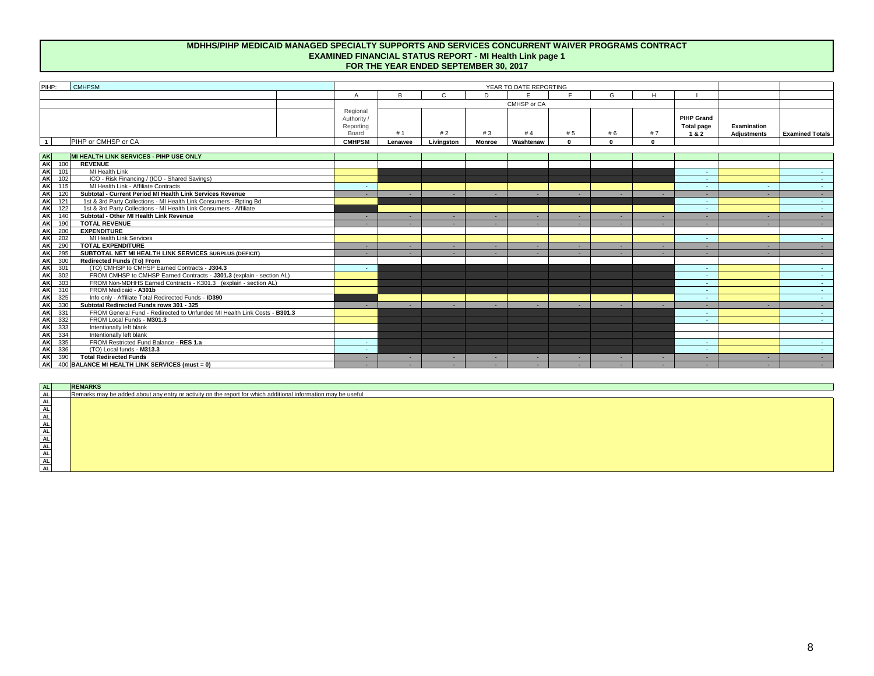#### **MDHHS/PIHP MEDICAID MANAGED SPECIALTY SUPPORTS AND SERVICES CONCURRENT WAIVER PROGRAMS CONTRACT EXAMINED FINANCIAL STATUS REPORT - MI Health Link page 1 FOR THE YEAR ENDED SEPTEMBER 30, 2017**

| PIHP:<br><b>CMHPSM</b> |                                             |         |            |               | YEAR TO DATE REPORTING |     |    |   |                                        |                            |                        |
|------------------------|---------------------------------------------|---------|------------|---------------|------------------------|-----|----|---|----------------------------------------|----------------------------|------------------------|
|                        |                                             |         |            |               |                        |     |    | H |                                        |                            |                        |
|                        |                                             |         |            |               | CMHSP or CA            |     |    |   |                                        |                            |                        |
|                        | Regional<br>Authority<br>Reporting<br>Board |         | #2         | #3            | # 4                    | # 5 | #6 |   | <b>PIHP Grand</b><br>Total page<br>1&2 | Examination<br>Adjustments | <b>Examined Totals</b> |
| PIHP or CMHSP or CA    | <b>CMHPSM</b>                               | Lenawee | Livingston | <b>Monroe</b> | <b>Washtenaw</b>       |     |    |   |                                        |                            |                        |

| <b>AK</b>        | MI HEALTH LINK SERVICES - PIHP USE ONLY                                  |    |  |  |  |                          |        |                |
|------------------|--------------------------------------------------------------------------|----|--|--|--|--------------------------|--------|----------------|
| AK 100           | <b>REVENUE</b>                                                           |    |  |  |  |                          |        |                |
| AK<br>101        | MI Health Link                                                           |    |  |  |  | . .                      |        | $\sim$         |
| AK<br>AK<br>102  | ICO - Risk Financing / (ICO - Shared Savings)                            |    |  |  |  | <b>.</b>                 |        | $\sim$         |
| 115              | MI Health Link - Affiliate Contracts                                     | ۰  |  |  |  | ۰                        | $\sim$ | $\sim$         |
| AK<br>120        | Subtotal - Current Period MI Health Link Services Revenue                |    |  |  |  |                          |        |                |
| <b>AK</b><br>121 | 1st & 3rd Party Collections - MI Health Link Consumers - Roting Bd       |    |  |  |  | <b>.</b>                 |        | $\sim$         |
| AK<br>122        | 1st & 3rd Party Collections - MI Health Link Consumers - Affiliate       |    |  |  |  | <b>.</b>                 |        | $\sim$         |
| AK<br>140        | Subtotal - Other MI Health Link Revenue                                  | ۰  |  |  |  |                          |        | . .            |
| <b>AK</b><br>190 | <b>TOTAL REVENUE</b>                                                     |    |  |  |  |                          |        |                |
| <b>AK</b><br>200 | <b>EXPENDITURE</b>                                                       |    |  |  |  |                          |        |                |
| AK<br>202        | MI Health Link Services                                                  |    |  |  |  | <b>.</b>                 |        | $\sim$         |
| AK<br>290        | <b>TOTAL EXPENDITURE</b>                                                 | ۰  |  |  |  |                          |        | $\sim$         |
| AK<br>295        | SUBTOTAL NET MI HEALTH LINK SERVICES SURPLUS (DEFICIT)                   |    |  |  |  |                          |        |                |
| <b>AK</b><br>300 | Redirected Funds (To) From                                               |    |  |  |  |                          |        |                |
| AK<br>301        | (TO) CMHSP to CMHSP Earned Contracts - J304.3                            | ۰. |  |  |  | $\overline{\phantom{a}}$ |        | $\sim$         |
| AK<br>302        | FROM CMHSP to CMHSP Earned Contracts - J301.3 (explain - section AL)     |    |  |  |  |                          |        | <b>Service</b> |
| AK<br>303        | FROM Non-MDHHS Earned Contracts - K301.3 (explain - section AL)          |    |  |  |  |                          |        | . .            |
| AK<br>31(        | FROM Medicaid - A301b                                                    |    |  |  |  |                          |        |                |
| AK<br>325        | Info only - Affiliate Total Redirected Funds - ID390                     |    |  |  |  |                          |        | . .            |
| <b>AK</b><br>330 | Subtotal Redirected Funds rows 301 - 325                                 |    |  |  |  |                          |        | . .            |
| <b>AK</b><br>331 | FROM General Fund - Redirected to Unfunded MI Health Link Costs - B301.3 |    |  |  |  |                          |        | $\sim$         |
| AK<br>332        | FROM Local Funds - M301.3                                                |    |  |  |  | . .                      |        | <b>Service</b> |
| AK<br>333        | Intentionally left blank                                                 |    |  |  |  |                          |        |                |
| <b>AK</b><br>334 | Intentionally left blank                                                 |    |  |  |  |                          |        |                |
| <b>AK</b><br>335 | FROM Restricted Fund Balance - RES 1.a                                   | ۰. |  |  |  |                          |        |                |
| <b>AK</b><br>336 | (TO) Local funds - M313.3                                                | ۰. |  |  |  | <b>.</b>                 |        | $\sim$         |
| <b>AK</b><br>390 | <b>Total Redirected Funds</b>                                            |    |  |  |  |                          |        |                |
| <b>AK</b>        | 400 BALANCE MI HEALTH LINK SERVICES (must = 0)                           |    |  |  |  |                          |        |                |

**AL AL AL AL AL AL AL AL AL AL AL AL REMARKS** Remarks may be added about any entry or activity on the report for which additional information may be useful.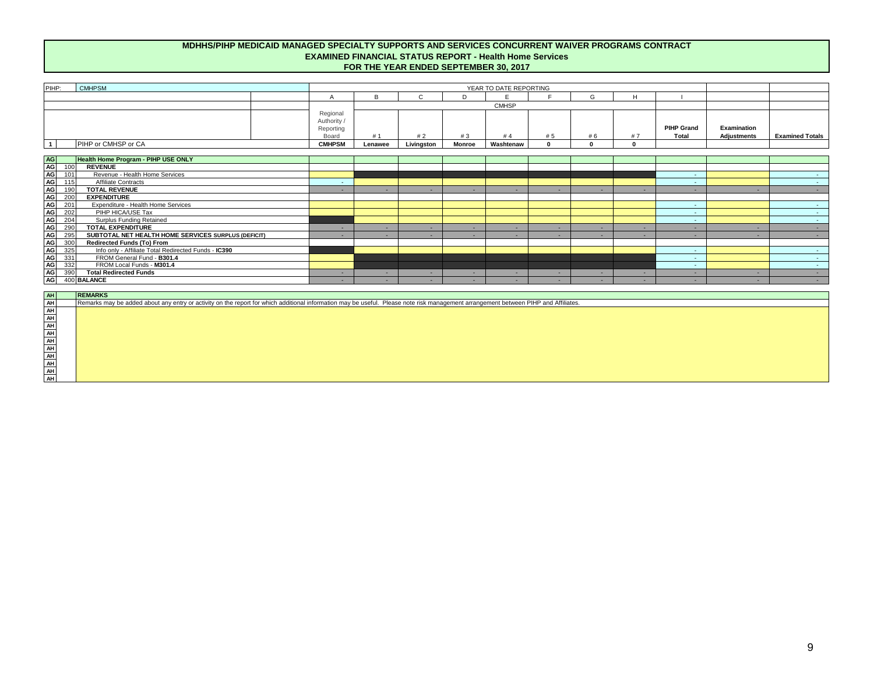#### **MDHHS/PIHP MEDICAID MANAGED SPECIALTY SUPPORTS AND SERVICES CONCURRENT WAIVER PROGRAMS CONTRACT EXAMINED FINANCIAL STATUS REPORT - Health Home Services FOR THE YEAR ENDED SEPTEMBER 30, 2017**

| PIHP:<br><b>CMHPSM</b> |                                             |         |            |               | YEAR TO DATE REPORTING |    |                 |    |                            |                                   |                        |
|------------------------|---------------------------------------------|---------|------------|---------------|------------------------|----|-----------------|----|----------------------------|-----------------------------------|------------------------|
|                        |                                             |         |            |               |                        |    | $\sqrt{2}$<br>G | п. |                            |                                   |                        |
|                        |                                             |         |            |               | <b>CMHSP</b>           |    |                 |    |                            |                                   |                        |
|                        | Regional<br>Authority<br>Reporting<br>Board | #       | #2         | #3            | #4                     | #5 | # 6             | #7 | <b>PIHP Grand</b><br>Total | Examination<br><b>Adjustments</b> | <b>Examined Totals</b> |
| PIHP or CMHSP or CA    | <b>CMHPSM</b>                               | Lenawee | Livinaston | <b>Monroe</b> | Washtenaw              |    |                 |    |                            |                                   |                        |

|                                          |     | Health Home Program - PIHP USE ONLY                  |   |  |  |   |                          |  |
|------------------------------------------|-----|------------------------------------------------------|---|--|--|---|--------------------------|--|
| <mark>옆</mark> '일'일'일'일'일'일'일'일'일'일'일'일' | 100 | <b>REVENUE</b>                                       |   |  |  |   |                          |  |
|                                          | 101 | Revenue - Health Home Services                       |   |  |  |   | $\overline{\phantom{a}}$ |  |
|                                          | 115 | <b>Affiliate Contracts</b>                           |   |  |  |   |                          |  |
|                                          | 190 | <b>TOTAL REVENUE</b>                                 |   |  |  |   |                          |  |
|                                          | 200 | <b>EXPENDITURE</b>                                   |   |  |  |   |                          |  |
|                                          | 201 | Expenditure - Health Home Services                   |   |  |  |   |                          |  |
|                                          | 202 | PIHP HICA/USE Tax                                    |   |  |  |   |                          |  |
|                                          | 204 | <b>Surplus Funding Retained</b>                      |   |  |  |   | $\overline{\phantom{a}}$ |  |
|                                          | 290 | <b>TOTAL EXPENDITURE</b>                             | - |  |  | - |                          |  |
|                                          | 295 | SUBTOTAL NET HEALTH HOME SERVICES SURPLUS (DEFICIT)  | - |  |  |   |                          |  |
|                                          | 300 | Redirected Funds (To) From                           |   |  |  |   |                          |  |
|                                          | 325 | Info only - Affiliate Total Redirected Funds - IC390 |   |  |  |   |                          |  |
|                                          | 331 | FROM General Fund - B301.4                           |   |  |  |   |                          |  |
|                                          | 332 | FROM Local Funds - M301.4                            |   |  |  |   |                          |  |
|                                          | 390 | <b>Total Redirected Funds</b>                        |   |  |  |   |                          |  |
|                                          |     | 400 BALANCE                                          |   |  |  |   |                          |  |

| AH | RE |
|----|----|
| AH | Re |
| AH |    |
| AH |    |
| AH |    |
| AH |    |
| AH |    |
| AH |    |
| AH |    |
| AH |    |
| AH |    |
| AH |    |

**REMARKS** emarks may be added about any entry or activity on the report for which additional information may be useful. Please note risk management arrangement between PIHP and Affiliates.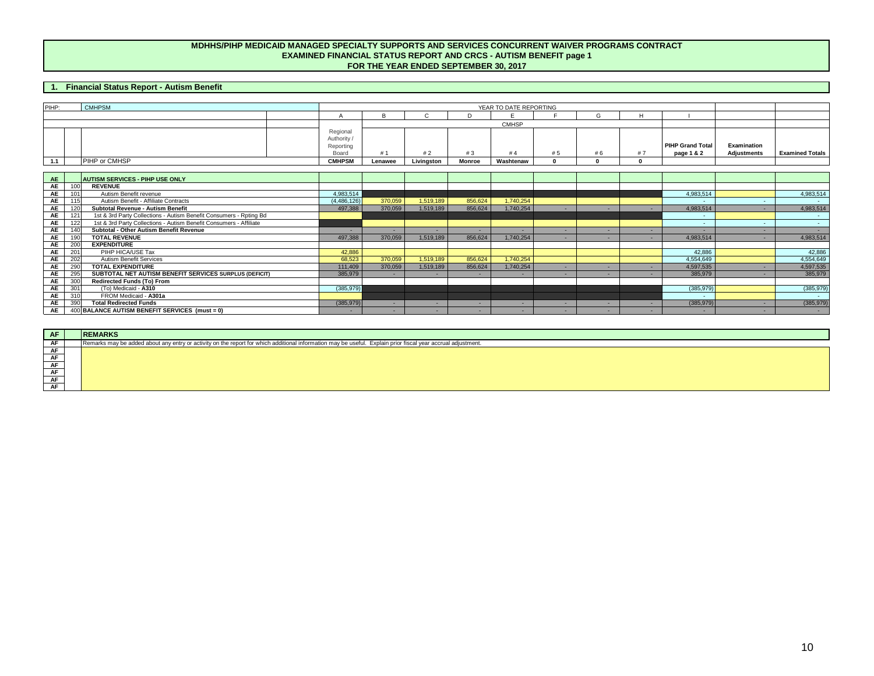#### **MDHHS/PIHP MEDICAID MANAGED SPECIALTY SUPPORTS AND SERVICES CONCURRENT WAIVER PROGRAMS CONTRACT EXAMINED FINANCIAL STATUS REPORT AND CRCS - AUTISM BENEFIT page 1 FOR THE YEAR ENDED SEPTEMBER 30, 2017**

### **1. Financial Status Report - Autism Benefit**

| PIHP: | <b>CMHPSM</b> |                                             |         |            |        | YEAR TO DATE REPORTING |     |  |  |                                       |                                   |                        |
|-------|---------------|---------------------------------------------|---------|------------|--------|------------------------|-----|--|--|---------------------------------------|-----------------------------------|------------------------|
|       |               |                                             |         |            |        |                        |     |  |  |                                       |                                   |                        |
|       |               |                                             |         |            |        | <b>CMHSP</b>           |     |  |  |                                       |                                   |                        |
|       |               | Regional<br>Authority<br>Reporting<br>Board | #1      | #2         | #3     | #4                     | # J |  |  | <b>PIHP Grand Total</b><br>page 1 & 2 | Examination<br><b>Adjustments</b> | <b>Examined Totals</b> |
| 1.1   | PIHP or CMHSP | <b>CMHPSM</b>                               | Lenawee | Livingston | Monroe | Washtenaw              |     |  |  |                                       |                                   |                        |

| <b>AE</b> |     | <b>AUTISM SERVICES - PIHP USE ONLY</b>                             |               |         |           |         |           |  |            |            |
|-----------|-----|--------------------------------------------------------------------|---------------|---------|-----------|---------|-----------|--|------------|------------|
| <b>AE</b> | 100 | <b>REVENUE</b>                                                     |               |         |           |         |           |  |            |            |
| <b>AE</b> | 101 | Autism Benefit revenue                                             | 4,983,514     |         |           |         |           |  | 4,983,514  | 4,983,514  |
| AE        | 115 | Autism Benefit - Affiliate Contracts                               | (4, 486, 126) | 370.059 | 1.519.189 | 856.624 | 1.740.254 |  |            |            |
| AE        | 120 | Subtotal Revenue - Autism Benefit                                  | 497,388       | 370,059 | 1,519,189 | 856,624 | 1,740,254 |  | 4,983,514  | 4,983,514  |
| AE        | 121 | 1st & 3rd Party Collections - Autism Benefit Consumers - Rpting Bd |               |         |           |         |           |  |            |            |
| AE        | 122 | 1st & 3rd Party Collections - Autism Benefit Consumers - Affiliate |               |         |           |         |           |  |            |            |
| <b>AE</b> | 140 | Subtotal - Other Autism Benefit Revenue                            |               |         |           |         |           |  |            |            |
| AE        | 190 | <b>TOTAL REVENUE</b>                                               | 497.388       | 370.059 | 1.519.189 | 856.624 | 1.740.254 |  | 4,983,514  | 4,983,514  |
| <b>AE</b> | 200 | <b>EXPENDITURE</b>                                                 |               |         |           |         |           |  |            |            |
| AE        | 201 | PIHP HICA/USE Tax                                                  | 42,886        |         |           |         |           |  | 42,886     | 42,886     |
| AE        | 202 | <b>Autism Benefit Services</b>                                     | 68.523        | 370.059 | 1.519.189 | 856.624 | 1.740.254 |  | 4,554,649  | 4,554,649  |
| AE        | 290 | <b>TOTAL EXPENDITURE</b>                                           | 111,409       | 370,059 | 1,519,189 | 856,624 | 1,740,254 |  | 4,597,535  | 4,597,535  |
| AE        | 295 | SUBTOTAL NET AUTISM BENEFIT SERVICES SURPLUS (DEFICIT)             | 385,979       | ٠       |           |         |           |  | 385,979    | 385,979    |
| AE        | 300 | <b>Redirected Funds (To) From</b>                                  |               |         |           |         |           |  |            |            |
| AE        | 301 | (To) Medicaid - A310                                               | (385, 979)    |         |           |         |           |  | (385, 979) | (385, 979) |
| AE        | 310 | FROM Medicaid - A301a                                              |               |         |           |         |           |  |            |            |
| AE        | 390 | <b>Total Redirected Funds</b>                                      | (385, 979)    |         |           |         |           |  | (385, 979) | (385, 979) |
| AE I      |     | 400 BALANCE AUTISM BENEFIT SERVICES (must = 0)                     |               |         |           |         |           |  |            |            |

| <b>AF</b> | <b>REMARKS</b>                                                                                                                                               |
|-----------|--------------------------------------------------------------------------------------------------------------------------------------------------------------|
| AF        | Remarks may be added about any entry or activity on the report for which additional information may be useful. Explain prior fiscal year accrual adjustment. |
| AF        |                                                                                                                                                              |
| AF        |                                                                                                                                                              |
| AF        |                                                                                                                                                              |
| AF        |                                                                                                                                                              |
| AF        |                                                                                                                                                              |
| AF        |                                                                                                                                                              |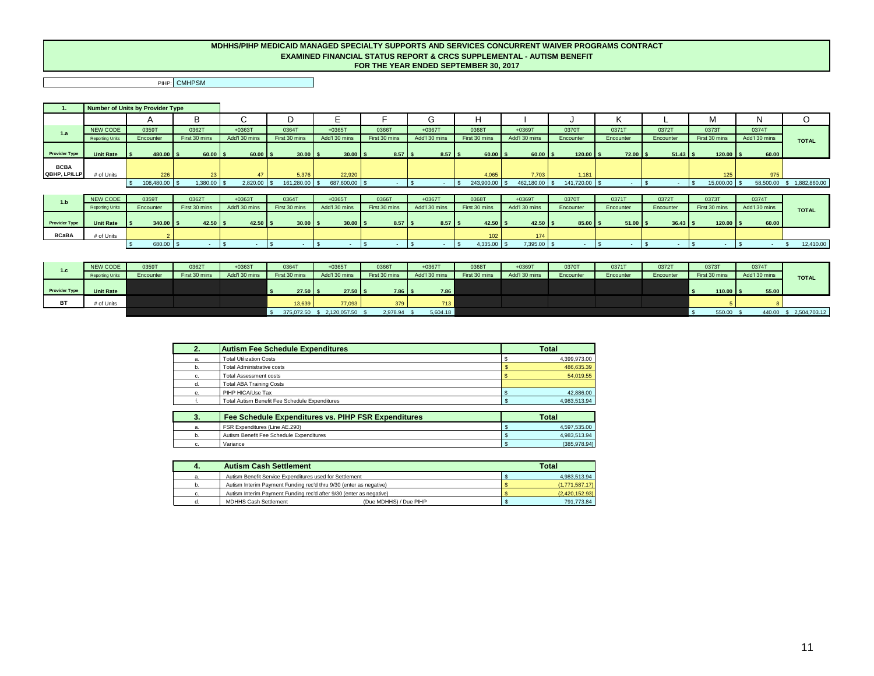#### **MDHHS/PIHP MEDICAID MANAGED SPECIALTY SUPPORTS AND SERVICES CONCURRENT WAIVER PROGRAMS CONTRACT EXAMINED FINANCIAL STATUS REPORT & CRCS SUPPLEMENTAL - AUTISM BENEFIT FOR THE YEAR ENDED SEPTEMBER 30, 2017**

PIHP: CMHPSM

 $\blacksquare$ 

|                             |                        | Number of Units by Provider Type |               |                       |               |               |                   |                      |               |               |                    |              |            |               |               |                           |
|-----------------------------|------------------------|----------------------------------|---------------|-----------------------|---------------|---------------|-------------------|----------------------|---------------|---------------|--------------------|--------------|------------|---------------|---------------|---------------------------|
|                             |                        | $\mathsf{A}$                     | В             |                       |               |               |                   | G                    | H             |               |                    |              |            | М             |               | O                         |
| 1.a                         | NEW CODE               | 0359T                            | 0362T         | $+0363T$              | 0364T         | $+0365$ T     | 0366T             | $+0367T$             | 03687         | $+0369T$      | 0370T              | 0371T        | 0372T      | 0373T         | 0374T         |                           |
|                             | <b>Reporting Units</b> | Encounter                        | First 30 mins | Add'l 30 mins         | First 30 mins | Add'l 30 mins | First 30 mins     | Add'l 30 mins        | First 30 mins | Add'l 30 mins | Encounter          | Encounter    | Encounter  | First 30 mins | Add'l 30 mins | <b>TOTAL</b>              |
| <b>Provider Type</b>        | <b>Unit Rate</b>       | $480.00$ \$                      | $60.00$ \$    | $60.00$ $\frac{1}{5}$ | $30.00$ \$    | $30.00$ \$    | $8.57$ $\sqrt{5}$ | $8.57$ $\frac{1}{5}$ | $60.00$ \$    | $60.00$ \ \$  | $120.00$ \$        | $72.00$ \ \$ | $51.43$ \$ | $120.00$ \ \$ | 60.00         |                           |
| <b>BCBA</b><br>QBHP, LP/LLP | # of Units             | 226                              | 23            | 47                    | 5,376         | 22,920        |                   |                      | 4,065         | 7.703         | 1.181              |              |            | 125           | 975           |                           |
|                             |                        | 108,480.00 \$                    | 1,380.00      | 2,820.00              | 161,280.00    | 687,600.00 \$ |                   |                      | 243,900.00    | 462,180.00    | 141,720.00 \$      |              |            | 15,000.00 \$  |               | 58,500.00 \$ 1,882,860.00 |
|                             |                        |                                  |               |                       |               |               |                   |                      |               |               |                    |              |            |               |               |                           |
| 1.b                         | NEW CODE               | 0359T                            | 0362T         | $+0363T$              | 0364T         | $+0365T$      | 0366T             | $+0367T$             | 0368T         | $+0369T$      | 0370T              | 0371T        | 0372T      | 0373T         | 0374T         |                           |
|                             | <b>Reporting Units</b> | Encounter                        | First 30 mins | Add'l 30 mins         | First 30 mins | Add'l 30 mins | First 30 mins     | Add'l 30 mins        | First 30 mins | Add'l 30 mins | Encounter          | Encounter    | Encounter  | First 30 mins | Add'l 30 mins | <b>TOTAL</b>              |
| <b>Provider Type</b>        | <b>Unit Rate</b>       | $340.00$ \$                      | $42.50$ \$    | $42.50$ \$            | $30.00$ \$    | $30.00$ \$    | $8.57$ $\sqrt{5}$ | $8.57$ \$            | $42.50$ \ \$  | $42.50$ \ \$  | $85.00$ $\sqrt{5}$ | $51.00$ \ \$ | $36.43$ \$ | $120.00$ \ \$ | 60.00         |                           |
| <b>BCaBA</b>                | # of Units             |                                  |               |                       |               |               |                   |                      | 102           | 174           |                    |              |            |               |               |                           |

| 1.c                  | NEW CODE               | 0359T     | 03627         | $+0363T$      | 0364T         | $+0365$ T     | 0366T             | $+0367T$      | 0368T         | $+0369T$      | 0370T     | 03717     | 0372T     | 0373T         | 0374T         |                 |
|----------------------|------------------------|-----------|---------------|---------------|---------------|---------------|-------------------|---------------|---------------|---------------|-----------|-----------|-----------|---------------|---------------|-----------------|
|                      | <b>Reporting Units</b> | Encounter | First 30 mins | Add'l 30 mins | First 30 mins | Add'l 30 mins | First 30 mins     | Add'l 30 mins | First 30 mins | Add'l 30 mins | Encounter | Encounter | Encounter | First 30 mins | Add'l 30 mins | <b>TOTAL</b>    |
|                      |                        |           |               |               |               |               |                   |               |               |               |           |           |           |               |               |                 |
| <b>Provider Type</b> | <b>Unit Rate</b>       |           |               |               | $27.50$ \$    | $27.50$ \$    | $7.86$ $\sqrt{5}$ | 7.86          |               |               |           |           |           | $110.00$ \$   | 55.00         |                 |
| <b>BT</b>            | # of Units             |           |               |               | 13,639        | 77,093        | 379               | 713           |               |               |           |           |           |               |               |                 |
|                      |                        |           |               |               | 375,072.50    | 2.120.057.50  | 2,978.94          | 5,604.18      |               |               |           |           |           | 550.00        | 440.00        | \$ 2,504,703.12 |

\$ 680.00 \$ - \$ - \$ - \$ - \$ - \$ - \$ 4,335.00 \$ 7,395.00 \$ - \$ - \$ - \$ - \$ - \$ 12,410.00

| 2. | <b>Autism Fee Schedule Expenditures</b>        | <b>Total</b> |
|----|------------------------------------------------|--------------|
| a. | <b>Total Utilization Costs</b>                 | 4,399,973.00 |
| b. | <b>Total Administrative costs</b>              | 486.635.39   |
| c. | <b>Total Assessment costs</b>                  | 54.019.55    |
| d. | <b>Total ABA Training Costs</b>                |              |
| е. | PIHP HICA/Use Tax                              | 42,886.00    |
|    | Total Autism Benefit Fee Schedule Expenditures | 4.983.513.94 |

| 3. | <b>Fee Schedule Expenditures vs. PIHP FSR Expenditures</b> | <b>Total</b> |
|----|------------------------------------------------------------|--------------|
|    | FSR Expenditures (Line AE.290)                             | 4.597.535.00 |
|    | Autism Benefit Fee Schedule Expenditures                   | 4.983.513.94 |
| U. | Variance                                                   | (385.978.94) |

| 4. | <b>Autism Cash Settlement</b>                                       | <b>Total</b>   |
|----|---------------------------------------------------------------------|----------------|
| а. | Autism Benefit Service Expenditures used for Settlement             | 4.983.513.94   |
|    | Autism Interim Payment Funding rec'd thru 9/30 (enter as negative)  | (1.771.587.17) |
| c. | Autism Interim Payment Funding rec'd after 9/30 (enter as negative) | (2,420,152.93) |
|    | <b>MDHHS Cash Settlement</b><br>(Due MDHHS) / Due PIHP              | 791.773.84     |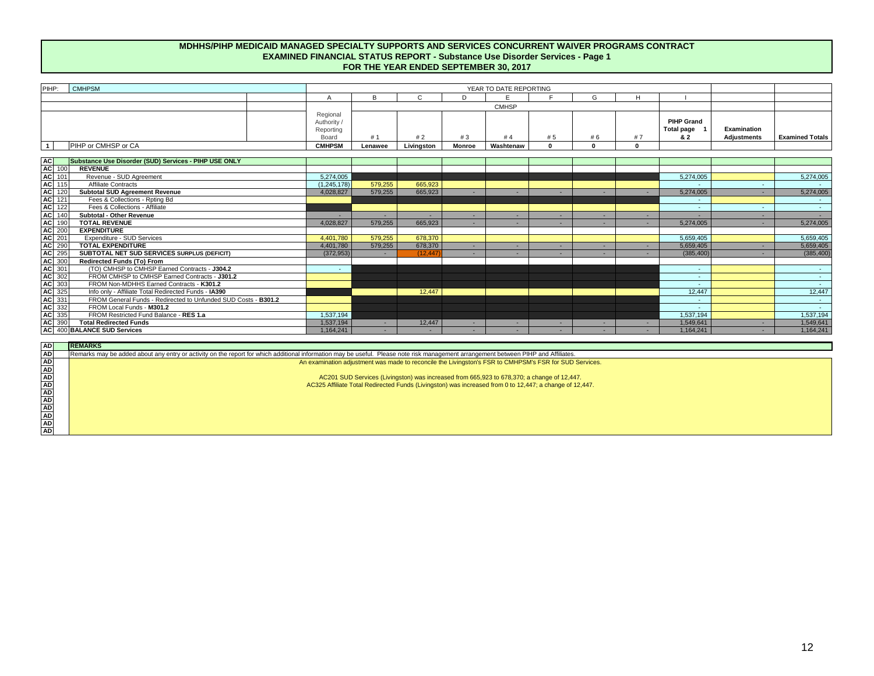#### **MDHHS/PIHP MEDICAID MANAGED SPECIALTY SUPPORTS AND SERVICES CONCURRENT WAIVER PROGRAMS CONTRACT EXAMINED FINANCIAL STATUS REPORT - Substance Use Disorder Services - Page 1 FOR THE YEAR ENDED SEPTEMBER 30, 2017**

| PIHP:          | <b>CMHPSM</b>       |                                    |         | YEAR TO DATE REPORTING |               |              |     |    |    |                                        |                    |                        |
|----------------|---------------------|------------------------------------|---------|------------------------|---------------|--------------|-----|----|----|----------------------------------------|--------------------|------------------------|
|                |                     |                                    |         |                        |               |              |     | G  |    |                                        |                    |                        |
|                |                     |                                    |         |                        |               | <b>CMHSP</b> |     |    |    |                                        |                    |                        |
|                |                     | Regional<br>Authority<br>Reportino |         |                        |               |              |     |    |    | <b>PIHP Grand</b><br><b>Total page</b> | Examination        |                        |
|                |                     | Board                              | #1      |                        | #3            | #4           | # 5 | #6 | #7 | & 2                                    | <b>Adjustments</b> | <b>Examined Totals</b> |
| $\overline{1}$ | PIHP or CMHSP or CA | <b>CMHPSM</b>                      | Lenawee | Livingston             | <b>Monroe</b> | Washtenaw    |     |    |    |                                        |                    |                        |
|                |                     |                                    |         |                        |               |              |     |    |    |                                        |                    |                        |

|                                                                              | Substance Use Disorder (SUD) Services - PIHP USE ONLY          |               |         |           |  |  |            |        |                 |
|------------------------------------------------------------------------------|----------------------------------------------------------------|---------------|---------|-----------|--|--|------------|--------|-----------------|
| AC 100<br>AC 101<br>AC 115<br>AC 120                                         | <b>REVENUE</b>                                                 |               |         |           |  |  |            |        |                 |
|                                                                              | Revenue - SUD Agreement                                        | 5.274.005     |         |           |  |  | 5.274.005  |        | 5,274,005       |
|                                                                              | <b>Affiliate Contracts</b>                                     | (1, 245, 178) | 579,255 | 665,923   |  |  |            |        |                 |
|                                                                              | <b>Subtotal SUD Agreement Revenue</b>                          | 4,028,827     | 579,255 | 665,923   |  |  | 5,274,005  |        | 5,274,005       |
| AC 121<br>AC 122<br>AC 140<br>AC 140                                         | Fees & Collections - Rpting Bd                                 |               |         |           |  |  |            |        |                 |
|                                                                              | Fees & Collections - Affiliate                                 |               |         |           |  |  | $\sim$     | $\sim$ | $\sim$ 10 $\pm$ |
|                                                                              | Subtotal - Other Revenue                                       |               |         |           |  |  | $\sim$     |        |                 |
|                                                                              | <b>TOTAL REVENUE</b>                                           | 4,028,827     | 579,255 | 665,923   |  |  | 5,274,005  |        | 5,274,005       |
| AC 200                                                                       | <b>EXPENDITURE</b>                                             |               |         |           |  |  |            |        |                 |
|                                                                              | Expenditure - SUD Services                                     | 4.401.780     | 579.255 | 678,370   |  |  | 5,659,405  |        | 5,659,405       |
| <b>AC</b> 290                                                                | <b>TOTAL EXPENDITURE</b>                                       | 4,401,780     | 579,255 | 678,370   |  |  | 5,659,405  |        | 5,659,405       |
| AC 295                                                                       | SUBTOTAL NET SUD SERVICES SURPLUS (DEFICIT)                    | (372, 953)    |         | (12, 447) |  |  | (385, 400) |        | (385, 400)      |
|                                                                              | <b>Redirected Funds (To) From</b>                              |               |         |           |  |  |            |        |                 |
|                                                                              | (TO) CMHSP to CMHSP Earned Contracts - J304.2                  | $\sim$        |         |           |  |  | $\sim$     |        | $\sim$ 10 $\pm$ |
|                                                                              | FROM CMHSP to CMHSP Earned Contracts - J301.2                  |               |         |           |  |  | $\sim$     |        | $\sim$          |
|                                                                              | FROM Non-MDHHS Earned Contracts - K301.2                       |               |         |           |  |  | $\sim$     |        | <b>Service</b>  |
|                                                                              | Info only - Affiliate Total Redirected Funds - IA390           |               |         | 12.447    |  |  | 12,447     |        | 12,447          |
|                                                                              | FROM General Funds - Redirected to Unfunded SUD Costs - B301.2 |               |         |           |  |  | $\sim$     |        | $\sim$          |
|                                                                              | FROM Local Funds - M301.2                                      |               |         |           |  |  | $\sim$     |        | $\sim$ 10 $\pm$ |
| AC 300<br>AC 300<br>AC 301<br>AC 302<br>AC 335<br>AC 335<br>AC 335<br>AC 335 | FROM Restricted Fund Balance - RES 1.a                         | .537.194      |         |           |  |  | .537.194   |        | 1,537,194       |
| AC 390                                                                       | <b>Total Redirected Funds</b>                                  | ,537,194      |         | 12,447    |  |  | 1,549,641  |        | 1,549,641       |
|                                                                              | AC 400 BALANCE SUD Services                                    | ,164,241      |         |           |  |  | 1.164.241  |        | 1,164,241       |

| <b>AD</b> | <b>REMARKS</b> |
|-----------|----------------|
| <b>AD</b> | Remarks m      |
| <b>AD</b> |                |
| <b>AD</b> |                |
| <b>AD</b> |                |
| <b>AD</b> |                |
| <b>AD</b> |                |
| <b>AD</b> |                |
| <b>AD</b> |                |
| AD        |                |
| <b>AD</b> |                |
| <b>AD</b> |                |

s may be added about any entry or activity on the report for which additional information may be useful. Please note risk management arrangement between PIHP and Affiliates.

An examination adjustment was made to reconcile the Livingston's FSR to CMHPSM's FSR for SUD Services.

AC201 SUD Services (Livingston) was increased from 665,923 to 678,370; a change of 12,447. AC325 Affiliate Total Redirected Funds (Livingston) was increased from 0 to 12,447; a change of 12,447.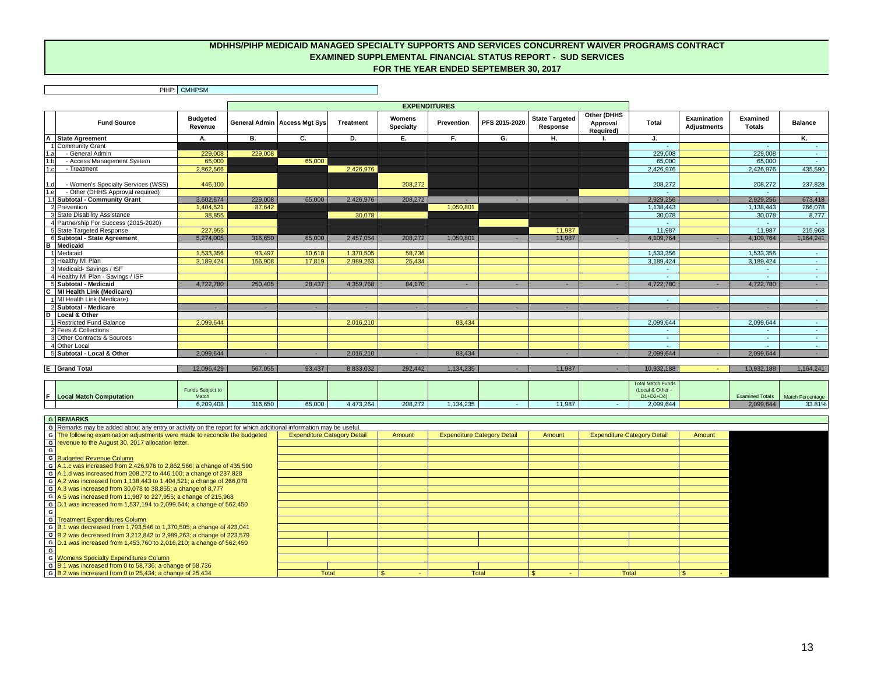#### **MDHHS/PIHP MEDICAID MANAGED SPECIALTY SUPPORTS AND SERVICES CONCURRENT WAIVER PROGRAMS CONTRACT EXAMINED SUPPLEMENTAL FINANCIAL STATUS REPORT - SUD SERVICES FOR THE YEAR ENDED SEPTEMBER 30, 2017**

|                                                                                       |                            |         |                                     |                  | <b>EXPENDITURES</b>        |                     |               |                                   |                                      |                  |                            |                           |                |
|---------------------------------------------------------------------------------------|----------------------------|---------|-------------------------------------|------------------|----------------------------|---------------------|---------------|-----------------------------------|--------------------------------------|------------------|----------------------------|---------------------------|----------------|
| <b>Fund Source</b>                                                                    | <b>Budgeted</b><br>Revenue |         | <b>General Admin Access Mgt Sys</b> | <b>Treatment</b> | Womens<br><b>Specialty</b> | Prevention          | PFS 2015-2020 | <b>State Targeted</b><br>Response | Other (DHHS<br>Approval<br>Required) | Total            | Examination<br>Adjustments | Examined<br><b>Totals</b> | <b>Balance</b> |
| $\overline{A}$<br><b>State Agreement</b>                                              | А.                         | в.      | C.                                  | D.               | Е.                         | F.                  | G.            | Η.                                |                                      | J.               |                            |                           | Κ.             |
| <b>Community Grant</b>                                                                |                            |         |                                     |                  |                            |                     |               |                                   |                                      | $\sim$           |                            |                           |                |
| - General Admin<br>1.a                                                                | 229,008                    | 229,008 |                                     |                  |                            |                     |               |                                   |                                      | 229,008          |                            | 229,008                   |                |
| - Access Management System<br>1.b                                                     | 65,000                     |         | 65,000                              |                  |                            |                     |               |                                   |                                      | 65,000           |                            | 65,000                    | $\sim$         |
| 1.c<br>- Treatment                                                                    | 2,862,566                  |         |                                     | 2,426,976        |                            |                     |               |                                   |                                      | 2,426,976        |                            | 2,426,976                 | 435,590        |
| - Women's Specialty Services (WSS)<br>1.dI<br>1.e<br>- Other (DHHS Approval required) | 446.100                    |         |                                     |                  | 208,272                    |                     |               |                                   |                                      | 208.272          |                            | 208,272                   | 237,828        |
| 1.f Subtotal - Community Grant                                                        | 3.602.674                  | 229,008 | 65,000                              | 2.426.976        | 208,272                    |                     |               | ۰.                                |                                      | 2.929.256        |                            | 2.929.256                 | 673,418        |
| 2 Prevention                                                                          |                            | 87.642  |                                     |                  |                            | $\sim$<br>1.050.801 |               |                                   |                                      | 1.138.443        | ۰.                         |                           | 266,078        |
| 3 State Disability Assistance                                                         | 1.404.521<br>38.855        |         |                                     | 30.078           |                            |                     |               |                                   |                                      | 30,078           |                            | 1.138.443<br>30.078       | 8,777          |
| 4 Partnership For Success (2015-2020)                                                 |                            |         |                                     |                  |                            |                     |               |                                   |                                      |                  |                            |                           |                |
| 5 State Targeted Response                                                             | 227,955                    |         |                                     |                  |                            |                     |               | 11.987                            |                                      | $\sim$<br>11,987 |                            | 11,987                    | 215,968        |
| 6 Subtotal - State Agreement                                                          | 5,274,005                  | 316,650 | 65,000                              | 2,457,054        | 208,272                    | 1.050.801           |               | 11.987                            |                                      | 4,109,764        |                            | 4,109,764                 | 1,164,241      |
| в<br><b>Medicaid</b>                                                                  |                            |         |                                     |                  |                            |                     |               |                                   |                                      |                  |                            |                           |                |
| 1 Medicaid                                                                            | 1,533,356                  | 93,497  | 10,618                              | 1,370,505        | 58,736                     |                     |               |                                   |                                      | 1,533,356        |                            | 1,533,356                 |                |
| 2 Healthy MI Plan                                                                     | 3,189,424                  | 156,908 | 17,819                              | 2.989.263        | 25,434                     |                     |               |                                   |                                      | 3,189,424        |                            | 3,189,424                 | $\sim$         |
| 3 Medicaid- Savings / ISF                                                             |                            |         |                                     |                  |                            |                     |               |                                   |                                      | $\sim$           |                            |                           | $\sim$         |
| 4 Healthy MI Plan - Savings / ISF                                                     |                            |         |                                     |                  |                            |                     |               |                                   |                                      | $\sim$           |                            | $\sim$                    | $\sim$         |
| 5 Subtotal - Medicaid                                                                 | 4,722,780                  | 250,405 | 28,437                              | 4,359,768        | 84,170                     | $\sim$              |               | $\sim$                            |                                      | 4,722,780        |                            | 4,722,780                 | $\sim$         |
| C<br><b>MI Health Link (Medicare)</b>                                                 |                            |         |                                     |                  |                            |                     |               |                                   |                                      |                  |                            |                           |                |
| 1 MI Health Link (Medicare)                                                           |                            |         |                                     |                  |                            |                     |               |                                   |                                      | $\sim$           |                            |                           | $\sim$         |
| 2 Subtotal - Medicare                                                                 | $\sim$                     |         |                                     | ٠                |                            |                     |               |                                   |                                      | ٠                | ٠                          | ٠                         | $\sim$         |
| D<br>Local & Other                                                                    |                            |         |                                     |                  |                            |                     |               |                                   |                                      |                  |                            |                           |                |
| 1 Restricted Fund Balance                                                             | 2.099.644                  |         |                                     | 2.016.210        |                            | 83.434              |               |                                   |                                      | 2.099.644        |                            | 2.099.644                 | $\sim$         |
| 2 Fees & Collections                                                                  |                            |         |                                     |                  |                            |                     |               |                                   |                                      | $\sim$           |                            |                           | $\sim$         |
| 3 Other Contracts & Sources                                                           |                            |         |                                     |                  |                            |                     |               |                                   |                                      | $\sim$           |                            |                           |                |
| 4 Other Local                                                                         |                            |         |                                     |                  |                            |                     |               |                                   |                                      | $\sim$           |                            |                           |                |
| 5 Subtotal - Local & Other                                                            | 2,099,644                  |         |                                     | 2.016.210        |                            | 83.434              |               |                                   |                                      | 2,099,644        | ٠                          | 2,099,644                 |                |
|                                                                                       |                            |         |                                     |                  |                            |                     |               |                                   |                                      |                  |                            |                           |                |
| <b>E</b> Grand Total                                                                  | 12.096.429                 | 567.055 | 93.437                              | 8.833.032        | 292.442                    | 1.134.235           |               | 11.987                            |                                      | 10.932.188       |                            | 10,932,188                | 1,164,241      |

|                                | mala Cubiant to<br>unas Subject to |         |        |           |         |           |        | Total Match Funds<br>Local & Other |            |                  |
|--------------------------------|------------------------------------|---------|--------|-----------|---------|-----------|--------|------------------------------------|------------|------------------|
| <b>Local Match Computation</b> | Match                              |         |        |           |         |           |        | $D1+D2+D4$                         | ned Totale | Match Percentage |
|                                | 6,209,408                          | 316,650 | 65,000 | 4.473.264 | 208,272 | 1.134.235 | 11,987 | 2.099.644                          | 2000004    | 33.81%           |

| <b>G REMARKS</b>                                                                                                 |                                    |        |                                    |        |                                    |        |  |
|------------------------------------------------------------------------------------------------------------------|------------------------------------|--------|------------------------------------|--------|------------------------------------|--------|--|
| G Remarks may be added about any entry or activity on the report for which additional information may be useful. |                                    |        |                                    |        |                                    |        |  |
| G The following examination adjustments were made to reconcile the budgeted                                      | <b>Expenditure Category Detail</b> | Amount | <b>Expenditure Category Detail</b> | Amount | <b>Expenditure Category Detail</b> | Amount |  |
| G revenue to the August 30, 2017 allocation letter.                                                              |                                    |        |                                    |        |                                    |        |  |
|                                                                                                                  |                                    |        |                                    |        |                                    |        |  |
| G Budgeted Revenue Column                                                                                        |                                    |        |                                    |        |                                    |        |  |
| G $A.1.c$ was increased from 2,426,976 to 2,862,566; a change of 435,590                                         |                                    |        |                                    |        |                                    |        |  |
| 6 A.1.d was increased from 208,272 to 446,100; a change of 237,828                                               |                                    |        |                                    |        |                                    |        |  |
| G $A.2$ was increased from 1,138,443 to 1,404,521; a change of 266,078                                           |                                    |        |                                    |        |                                    |        |  |
| G $\overline{A.3}$ was increased from 30,078 to 38,855; a change of 8,777                                        |                                    |        |                                    |        |                                    |        |  |
| G A.5 was increased from 11,987 to 227,955; a change of 215,968                                                  |                                    |        |                                    |        |                                    |        |  |
| G D.1 was increased from 1,537,194 to 2,099,644; a change of 562,450                                             |                                    |        |                                    |        |                                    |        |  |
|                                                                                                                  |                                    |        |                                    |        |                                    |        |  |
| <b>G</b> Treatment Expenditures Column                                                                           |                                    |        |                                    |        |                                    |        |  |
| G B.1 was decreased from 1,793,546 to 1,370,505; a change of 423,041                                             |                                    |        |                                    |        |                                    |        |  |
| G B.2 was decreased from 3,212,842 to 2,989,263; a change of 223,579                                             |                                    |        |                                    |        |                                    |        |  |
| G D.1 was increased from 1,453,760 to 2,016,210; a change of 562,450                                             |                                    |        |                                    |        |                                    |        |  |
|                                                                                                                  |                                    |        |                                    |        |                                    |        |  |
| <b>G</b> Womens Specialty Expenditures Column                                                                    |                                    |        |                                    |        |                                    |        |  |
| G B.1 was increased from 0 to 58,736; a change of 58,736                                                         |                                    |        |                                    |        |                                    |        |  |
| G $\overline{B.2}$ was increased from 0 to 25,434; a change of 25,434                                            | Total                              |        | Total                              |        | Total                              |        |  |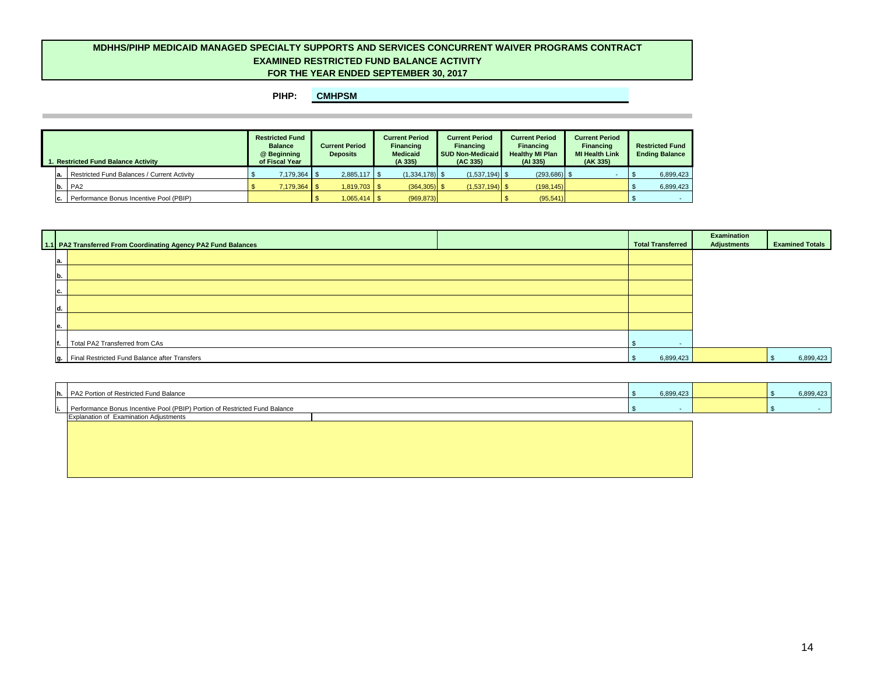#### **MDHHS/PIHP MEDICAID MANAGED SPECIALTY SUPPORTS AND SERVICES CONCURRENT WAIVER PROGRAMS CONTRACT EXAMINED RESTRICTED FUND BALANCE ACTIVITY FOR THE YEAR ENDED SEPTEMBER 30, 2017**

| 1. Restricted Fund Balance Activity |     |                                             | <b>Restricted Fund</b><br><b>Balance</b><br>@ Beginning<br>of Fiscal Year | <b>Current Period</b><br><b>Deposits</b> |                | <b>Current Period</b><br>Financing<br>Medicaid<br>(A335) |                  | <b>Current Period</b><br>Financing<br><b>SUD Non-Medicaid</b><br>(AC 335) |                  | <b>Current Period</b><br><b>Financing</b><br><b>Healthy MI Plan</b><br>(A1 335) |                 | <b>Current Period</b><br>Financing<br><b>MI Health Link</b><br>(AK 335) | <b>Restricted Fund</b><br><b>Ending Balance</b> |           |
|-------------------------------------|-----|---------------------------------------------|---------------------------------------------------------------------------|------------------------------------------|----------------|----------------------------------------------------------|------------------|---------------------------------------------------------------------------|------------------|---------------------------------------------------------------------------------|-----------------|-------------------------------------------------------------------------|-------------------------------------------------|-----------|
|                                     | la. | Restricted Fund Balances / Current Activity | 7,179,364                                                                 |                                          | $2,885,117$ \$ |                                                          | $(1,334,178)$ \$ |                                                                           | $(1,537,194)$ \$ |                                                                                 | $(293, 686)$ \$ |                                                                         |                                                 | 6,899,423 |
|                                     | b.  | $P_{A2}$                                    | 7,179,364 \$                                                              |                                          | $1,819,703$ \$ |                                                          | $(364, 305)$ \$  |                                                                           | $(1,537,194)$ \$ |                                                                                 | (198, 145)      |                                                                         |                                                 | 6,899,423 |
|                                     | IC. | Performance Bonus Incentive Pool (PBIP)     |                                                                           |                                          |                |                                                          | (969, 873)       |                                                                           |                  |                                                                                 | (95, 541)       |                                                                         |                                                 |           |

| 1.1 PA2 Transferred From Coordinating Agency PA2 Fund Balances | <b>Total Transferred</b> | Examination<br>Adjustments | <b>Examined Totals</b> |
|----------------------------------------------------------------|--------------------------|----------------------------|------------------------|
| а.                                                             |                          |                            |                        |
| Ib.                                                            |                          |                            |                        |
| C.                                                             |                          |                            |                        |
| ıd.                                                            |                          |                            |                        |
| le.                                                            |                          |                            |                        |
| Total PA2 Transferred from CAs                                 |                          |                            |                        |
| g.   Final Restricted Fund Balance after Transfers             | 6,899,423                |                            | 6,899,423              |

| h. PA2 Portion of Restricted Fund Balance                                  | 6,899,423 |  | 6,899,423 |
|----------------------------------------------------------------------------|-----------|--|-----------|
| Performance Bonus Incentive Pool (PBIP) Portion of Restricted Fund Balance |           |  |           |
| <b>Explanation of Examination Adjustments</b>                              |           |  |           |
|                                                                            |           |  |           |
|                                                                            |           |  |           |
|                                                                            |           |  |           |
|                                                                            |           |  |           |
|                                                                            |           |  |           |
|                                                                            |           |  |           |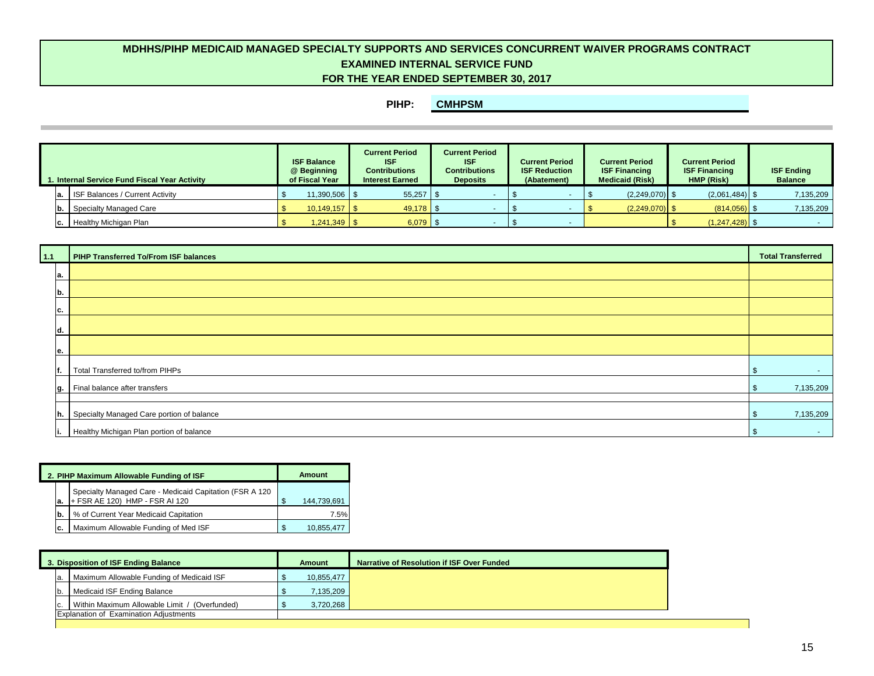# **FOR THE YEAR ENDED SEPTEMBER 30, 2017 MDHHS/PIHP MEDICAID MANAGED SPECIALTY SUPPORTS AND SERVICES CONCURRENT WAIVER PROGRAMS CONTRACT EXAMINED INTERNAL SERVICE FUND**

| . Internal Service Fund Fiscal Year Activity |  |                                           | <b>ISF Balance</b><br>@ Beginning<br>of Fiscal Year |                | <b>Current Period</b><br><b>ISF</b><br><b>Contributions</b><br><b>Interest Earned</b> |  | <b>Current Period</b><br><b>ISF</b><br><b>Contributions</b><br><b>Deposits</b> |  | <b>Current Period</b><br><b>ISF Reduction</b><br>(Abatement) |  | <b>Current Period</b><br><b>ISF Financing</b><br><b>Medicaid (Risk)</b> |  | <b>Current Period</b><br><b>ISF Financing</b><br>HMP (Risk) |  | <b>ISF Ending</b><br><b>Balance</b> |  |
|----------------------------------------------|--|-------------------------------------------|-----------------------------------------------------|----------------|---------------------------------------------------------------------------------------|--|--------------------------------------------------------------------------------|--|--------------------------------------------------------------|--|-------------------------------------------------------------------------|--|-------------------------------------------------------------|--|-------------------------------------|--|
|                                              |  | <b>a.</b> ISF Balances / Current Activity |                                                     | 11,390,506 \$  | $55,257$ \$                                                                           |  |                                                                                |  |                                                              |  | $(2,249,070)$ \$                                                        |  | $(2,061,484)$ \$                                            |  | 7,135,209                           |  |
|                                              |  | <b>b.</b> Specialty Managed Care          |                                                     |                | 49,178 \$                                                                             |  |                                                                                |  |                                                              |  | $(2,249,070)$ \$                                                        |  | $(814,056)$ \$                                              |  | 7,135,209                           |  |
|                                              |  | Healthy Michigan Plan                     |                                                     | $1,241,349$ \$ | $6,079$ \$                                                                            |  |                                                                                |  |                                                              |  |                                                                         |  | $(1,247,428)$ \$                                            |  |                                     |  |

| 1.1 | <b>PIHP Transferred To/From ISF balances</b> | <b>Total Transferred</b> |
|-----|----------------------------------------------|--------------------------|
| а.  |                                              |                          |
| b.  |                                              |                          |
| с.  |                                              |                          |
| d.  |                                              |                          |
|     |                                              |                          |
| е.  |                                              |                          |
| t.  | Total Transferred to/from PIHPs              | <b>Service</b>           |
| q.  | Final balance after transfers                | 7,135,209                |
|     |                                              |                          |
| Ih. | Specialty Managed Care portion of balance    | 7,135,209                |
| п.  | Healthy Michigan Plan portion of balance     | <b>Section</b><br>.৯     |

|     | 2. PIHP Maximum Allowable Funding of ISF                                                  |     | Amount      |
|-----|-------------------------------------------------------------------------------------------|-----|-------------|
| la. | Specialty Managed Care - Medicaid Capitation (FSR A 120<br>+ FSR AE 120) HMP - FSR AI 120 | \$. | 144,739,691 |
| lb. | % of Current Year Medicaid Capitation                                                     |     | 7.5%        |
| Ic. | Maximum Allowable Funding of Med ISF                                                      | £.  | 10,855,477  |

| 3. Disposition of ISF Ending Balance |  |                                               | Amount     | Narrative of Resolution if ISF Over Funded |
|--------------------------------------|--|-----------------------------------------------|------------|--------------------------------------------|
|                                      |  | Maximum Allowable Funding of Medicaid ISF     | 10,855,477 |                                            |
|                                      |  | Medicaid ISF Ending Balance                   | 7.135.209  |                                            |
|                                      |  | Within Maximum Allowable Limit / (Overfunded) | 3,720,268  |                                            |
|                                      |  | <b>Explanation of Examination Adjustments</b> |            |                                            |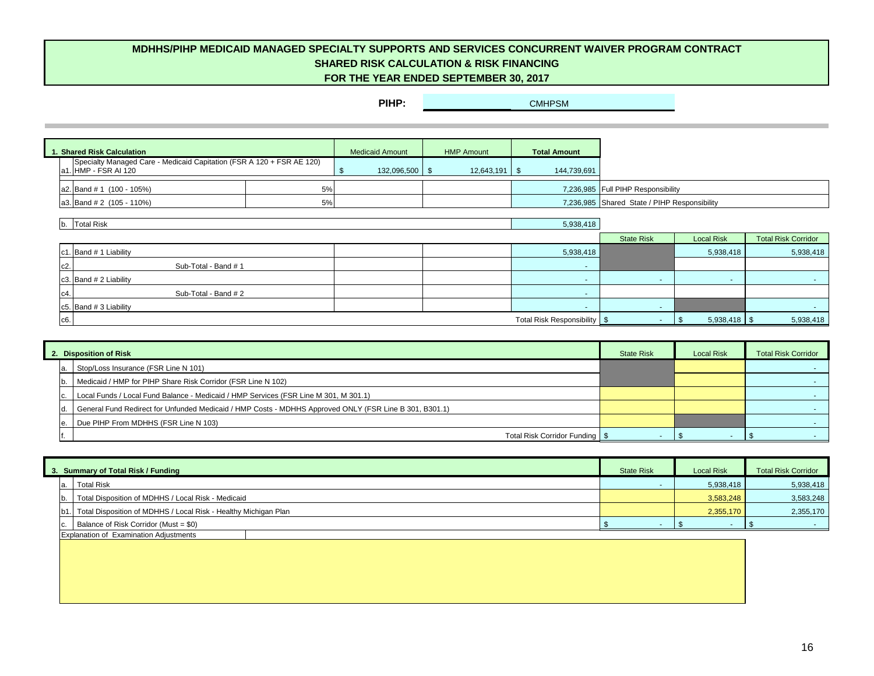# **FOR THE YEAR ENDED SEPTEMBER 30, 2017 MDHHS/PIHP MEDICAID MANAGED SPECIALTY SUPPORTS AND SERVICES CONCURRENT WAIVER PROGRAM CONTRACT SHARED RISK CALCULATION & RISK FINANCING**

|  | 1. Shared Risk Calculation                                            |    | <b>Medicaid Amount</b> | <b>HMP Amount</b>           | <b>Total Amount</b> |                                              |
|--|-----------------------------------------------------------------------|----|------------------------|-----------------------------|---------------------|----------------------------------------------|
|  | Specialty Managed Care - Medicaid Capitation (FSR A 120 + FSR AE 120) |    |                        |                             |                     |                                              |
|  | a1. HMP - FSR AI 120                                                  |    | 132,096,500 \$         | $12.643.191$ $\blacksquare$ | 144,739,691         |                                              |
|  |                                                                       |    |                        |                             |                     |                                              |
|  | a2. Band $# 1$ (100 - 105%)                                           | 5% |                        |                             |                     | 7,236,985 Full PIHP Responsibility           |
|  | a3. Band $# 2$ (105 - 110%)                                           | 5% |                        |                             |                     | 7,236,985 Shared State / PIHP Responsibility |

| b. Total Risk            |                      | 5,938,418                      |                   |                   |                            |
|--------------------------|----------------------|--------------------------------|-------------------|-------------------|----------------------------|
|                          |                      |                                | <b>State Risk</b> | <b>Local Risk</b> | <b>Total Risk Corridor</b> |
| c1. Band # 1 Liability   |                      | 5,938,418                      |                   | 5,938,418         | 5,938,418                  |
| $c2$ .                   | Sub-Total - Band #1  |                                |                   |                   |                            |
| c3. Band $# 2$ Liability |                      |                                |                   |                   |                            |
| $c4$ .                   | Sub-Total - Band # 2 | . .                            |                   |                   |                            |
| c5. Band $# 3$ Liability |                      |                                |                   |                   |                            |
| c6.                      |                      | Total Risk Responsibility   \$ |                   | $5,938,418$ \$    | 5,938,418                  |

|  | 2. Disposition of Risk                                                                                 | <b>State Risk</b> | <b>Local Risk</b> | <b>Total Risk Corridor</b> |
|--|--------------------------------------------------------------------------------------------------------|-------------------|-------------------|----------------------------|
|  | Stop/Loss Insurance (FSR Line N 101)                                                                   |                   |                   |                            |
|  | Medicaid / HMP for PIHP Share Risk Corridor (FSR Line N 102)                                           |                   |                   |                            |
|  | Local Funds / Local Fund Balance - Medicaid / HMP Services (FSR Line M 301, M 301.1)                   |                   |                   |                            |
|  | General Fund Redirect for Unfunded Medicaid / HMP Costs - MDHHS Approved ONLY (FSR Line B 301, B301.1) |                   |                   |                            |
|  | Due PIHP From MDHHS (FSR Line N 103)                                                                   |                   |                   |                            |
|  | Total Risk Corridor Funding   \$                                                                       |                   |                   |                            |

| 3. Summary of Total Risk / Funding                                    | <b>State Risk</b> | <b>Local Risk</b> | <b>Total Risk Corridor</b> |
|-----------------------------------------------------------------------|-------------------|-------------------|----------------------------|
| <b>Total Risk</b>                                                     |                   | 5,938,418         | 5,938,418                  |
| Total Disposition of MDHHS / Local Risk - Medicaid                    |                   | 3,583,248         | 3,583,248                  |
| [b1.] Total Disposition of MDHHS / Local Risk - Healthy Michigan Plan |                   | 2.355.170         | 2,355,170                  |
| Balance of Risk Corridor (Must = \$0)                                 |                   |                   |                            |
| <b>Explanation of Examination Adjustments</b>                         |                   |                   |                            |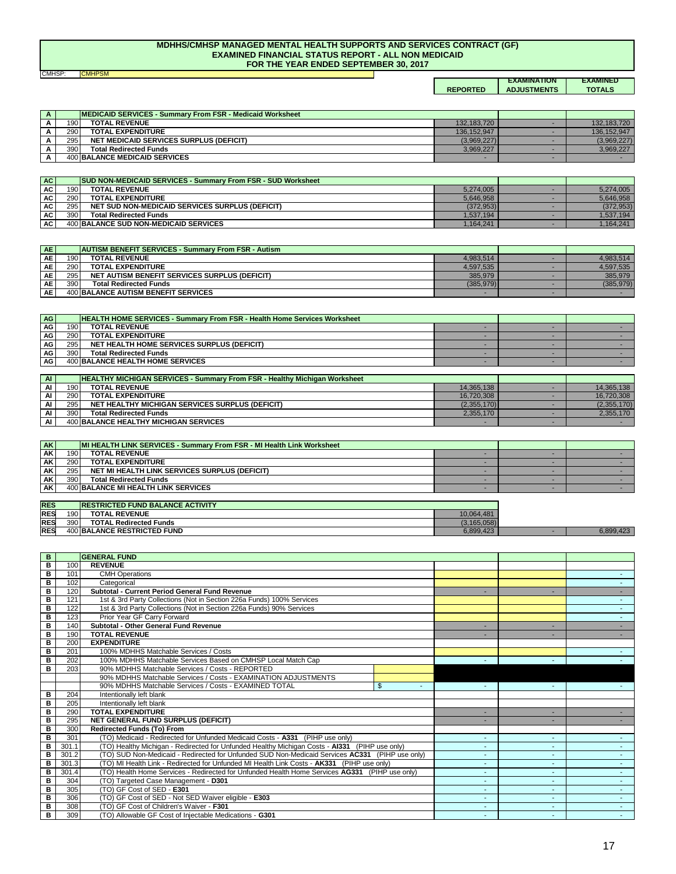#### **MDHHS/CMHSP MANAGED MENTAL HEALTH SUPPORTS AND SERVICES CONTRACT (GF) EXAMINED FINANCIAL STATUS REPORT - ALL NON MEDICAID FOR THE YEAR ENDED SEPTEMBER 30, 2017**

CMHSP: <mark>CMHPSM</mark>

#### **REPORTED EXAMINATION ADJUSTMENTS EXAMINED TOTALS**

| $\Lambda$ | <b>IMEDICAID SERVICES - Summary From FSR - Medicaid Worksheet</b> |             |             |
|-----------|-------------------------------------------------------------------|-------------|-------------|
|           | <b>TOTAL REVENUE</b><br>1901                                      | 132.183.720 | 132.183.720 |
|           | 290<br><b>TOTAL EXPENDITURE</b>                                   | 136.152.947 | 136.152.947 |
|           | <b>NET MEDICAID SERVICES SURPLUS (DEFICIT)</b><br>295             | (3,969,227) | (3,969,227) |
|           | 390<br><b>Total Redirected Funds</b>                              | 3.969.227   | 3.969.227   |
|           | <b>400 BALANCE MEDICAID SERVICES</b>                              |             |             |

| AC        |     | <b>SUD NON-MEDICAID SERVICES - Summary From FSR - SUD Worksheet</b> |            |            |
|-----------|-----|---------------------------------------------------------------------|------------|------------|
| AC I      | 190 | <b>TOTAL REVENUE</b>                                                | 5.274.005  | 5.274.005  |
| <b>AC</b> | 290 | <b>TOTAL EXPENDITURE</b>                                            | 5.646.958  | 5.646.958  |
| AC .      | 295 | NET SUD NON-MEDICAID SERVICES SURPLUS (DEFICIT)                     | (372, 953) | (372, 953) |
| <b>AC</b> | 390 | <b>Total Redirected Funds</b>                                       | 1.537.194  | ,537,194   |
| AC I      |     | 400 BALANCE SUD NON-MEDICAID SERVICES                               | 1.164.241  | .164.241   |

| AE <sup>1</sup> |      | <b>AUTISM BENEFIT SERVICES - Summary From FSR - Autism</b> |           |            |
|-----------------|------|------------------------------------------------------------|-----------|------------|
| <b>AE</b>       | 1901 | <b>TOTAL REVENUE</b>                                       | 4.983.514 | 4.983.514  |
| <b>AE</b>       | 290  | <b>TOTAL EXPENDITURE</b>                                   | 4.597.535 | 4.597.535  |
| <b>AE</b>       | 295  | NET AUTISM BENEFIT SERVICES SURPLUS (DEFICIT)              | 385.979   | 385.979    |
| <b>AE</b>       | 390  | <b>Total Redirected Funds</b>                              | (385.979) | (385, 979) |
| <b>AE</b>       |      | <b>400 BALANCE AUTISM BENEFIT SERVICES</b>                 |           |            |

| AG        |     | <b>HEALTH HOME SERVICES - Summary From FSR - Health Home Services Worksheet</b> |  |  |
|-----------|-----|---------------------------------------------------------------------------------|--|--|
| AG .      | 190 | <b>TOTAL REVENUE</b>                                                            |  |  |
| AG I      | 290 | <b>TOTAL EXPENDITURE</b>                                                        |  |  |
| <b>AG</b> | 295 | NET HEALTH HOME SERVICES SURPLUS (DEFICIT)                                      |  |  |
| AG I      | 390 | <b>Total Redirected Funds</b>                                                   |  |  |
| <b>AG</b> |     | <b>400 BALANCE HEALTH HOME SERVICES</b>                                         |  |  |

| $\overline{A}$ | <b>HEALTHY MICHIGAN SERVICES - Summary From FSR - Healthy Michigan Worksheet</b> |                                                        |             |             |
|----------------|----------------------------------------------------------------------------------|--------------------------------------------------------|-------------|-------------|
| AI             | 190                                                                              | <b>TOTAL REVENUE</b>                                   | 14.365.138  | 14.365.138  |
| AI             | 290                                                                              | <b>TOTAL EXPENDITURE</b>                               | 16.720.308  | 16.720.308  |
| AI             | 295                                                                              | <b>NET HEALTHY MICHIGAN SERVICES SURPLUS (DEFICIT)</b> | (2,355,170) | (2.355.170) |
| AI             | 390                                                                              | <b>Total Redirected Funds</b>                          | 2.355.170   | 2.355.170   |
| AI             |                                                                                  | <b>400 BALANCE HEALTHY MICHIGAN SERVICES</b>           |             |             |

| <b>AK</b>       | MI HEALTH LINK SERVICES - Summary From FSR - MI Health Link Worksheet |                                               |  |  |
|-----------------|-----------------------------------------------------------------------|-----------------------------------------------|--|--|
| <b>AK</b>       | 190                                                                   | <b>TOTAL REVENUE</b>                          |  |  |
| AK.             | 290                                                                   | <b>TOTAL EXPENDITURE</b>                      |  |  |
| AK <sup>1</sup> | 295                                                                   | NET MI HEALTH LINK SERVICES SURPLUS (DEFICIT) |  |  |
| <b>AK</b>       | 390                                                                   | <b>Total Redirected Funds</b>                 |  |  |
| <b>AK</b>       |                                                                       | <b>400 BALANCE MI HEALTH LINK SERVICES</b>    |  |  |

| <b>RES</b> |      | <b>IRESTRICTED FUND BALANCE ACTIVITY</b> |               |       |
|------------|------|------------------------------------------|---------------|-------|
| <b>RES</b> | 1901 | <b>TOTAL REVENUE</b>                     | 10.064.481    |       |
| <b>RES</b> | 390  | <b>TOTAL Redirected Funds</b>            | (3, 165, 058) |       |
| <b>RES</b> |      | 400 BALANCE RESTRICTED FUND              | 6,899,423     | 9.423 |

| B |       | <b>GENERAL FUND</b>                                                                             |    |    |                          |   |
|---|-------|-------------------------------------------------------------------------------------------------|----|----|--------------------------|---|
| в | 100   | <b>REVENUE</b>                                                                                  |    |    |                          |   |
| в | 101   | <b>CMH Operations</b>                                                                           |    |    |                          |   |
| в | 102   | Categorical                                                                                     |    |    |                          |   |
| в | 120   | Subtotal - Current Period General Fund Revenue                                                  |    |    |                          |   |
| в | 121   | 1st & 3rd Party Collections (Not in Section 226a Funds) 100% Services                           |    |    |                          |   |
| в | 122   | 1st & 3rd Party Collections (Not in Section 226a Funds) 90% Services                            |    |    |                          |   |
| в | 123   | Prior Year GF Carry Forward                                                                     |    |    |                          |   |
| в | 140   | Subtotal - Other General Fund Revenue                                                           |    |    |                          |   |
| в | 190   | <b>TOTAL REVENUE</b>                                                                            |    |    |                          |   |
| в | 200   | <b>EXPENDITURE</b>                                                                              |    |    |                          |   |
| в | 201   | 100% MDHHS Matchable Services / Costs                                                           |    |    |                          |   |
| в | 202   | 100% MDHHS Matchable Services Based on CMHSP Local Match Cap                                    |    | ٠  |                          |   |
| в | 203   | 90% MDHHS Matchable Services / Costs - REPORTED                                                 |    |    |                          |   |
|   |       | 90% MDHHS Matchable Services / Costs - EXAMINATION ADJUSTMENTS                                  |    |    |                          |   |
|   |       | 90% MDHHS Matchable Services / Costs - EXAMINED TOTAL                                           | \$ |    |                          |   |
| в | 204   | Intentionally left blank                                                                        |    |    |                          |   |
| в | 205   | Intentionally left blank                                                                        |    |    |                          |   |
| в | 290   | <b>TOTAL EXPENDITURE</b>                                                                        |    | ÷. |                          |   |
| в | 295   | NET GENERAL FUND SURPLUS (DEFICIT)                                                              |    |    |                          |   |
| в | 300   | <b>Redirected Funds (To) From</b>                                                               |    |    |                          |   |
| B | 301   | (TO) Medicaid - Redirected for Unfunded Medicaid Costs - A331 (PIHP use only)                   |    | ٠  |                          |   |
| в | 301.1 | (TO) Healthy Michigan - Redirected for Unfunded Healthy Michigan Costs - AI331 (PIHP use only)  |    | ٠  |                          |   |
| в | 301.2 | (TO) SUD Non-Medicaid - Redirected for Unfunded SUD Non-Medicaid Services AC331 (PIHP use only) |    | ۰. |                          |   |
| в | 301.3 | (TO) MI Health Link - Redirected for Unfunded MI Health Link Costs - AK331 (PIHP use only)      |    | ٠  |                          |   |
| в | 301.4 | (TO) Health Home Services - Redirected for Unfunded Health Home Services AG331 (PIHP use only)  |    | ٠  | $\blacksquare$           |   |
| в | 304   | (TO) Targeted Case Management - D301                                                            |    |    |                          |   |
| в | 305   | (TO) GF Cost of SED - E301                                                                      |    | ٠  | $\overline{\phantom{a}}$ | ٠ |
| в | 306   | (TO) GF Cost of SED - Not SED Waiver eligible - E303                                            |    | ٠  |                          |   |
| B | 308   | (TO) GF Cost of Children's Waiver - F301                                                        |    | ۰. | $\overline{\phantom{a}}$ |   |
| в | 309   | (TO) Allowable GF Cost of Injectable Medications - G301                                         |    | ٠  |                          |   |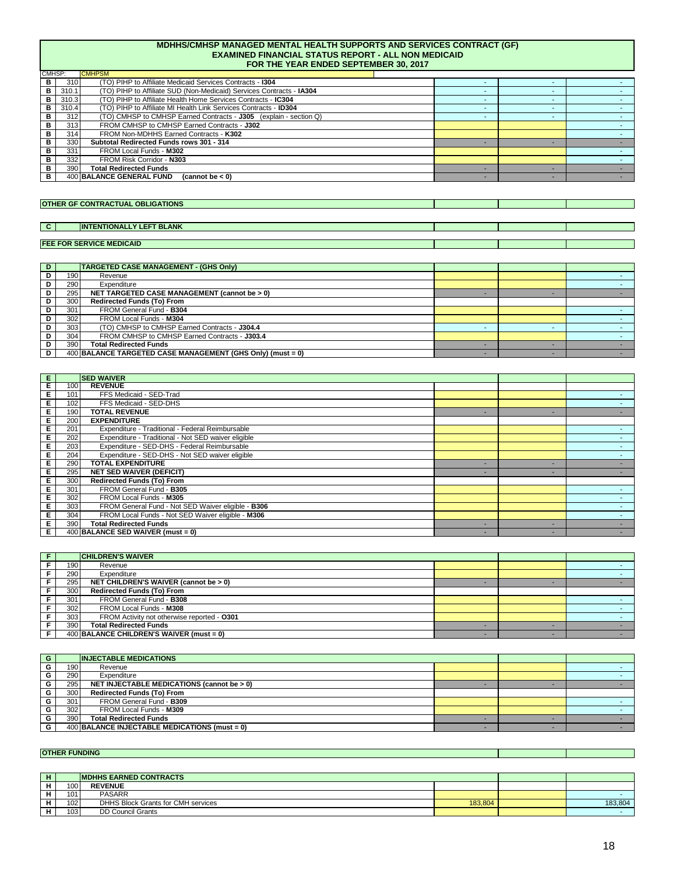#### **MDHHS/CMHSP MANAGED MENTAL HEALTH SUPPORTS AND SERVICES CONTRACT (GF) EXAMINED FINANCIAL STATUS REPORT - ALL NON MEDICAID FOR THE YEAR ENDED SEPTEMBER 30, 2017**

| CMHSP: |       | <b>CMHPSM</b>                                                               |                          |  |
|--------|-------|-----------------------------------------------------------------------------|--------------------------|--|
| в      | 310   | (TO) PIHP to Affiliate Medicaid Services Contracts - 1304                   |                          |  |
| в      | 310.1 | (TO) PIHP to Affiliate SUD (Non-Medicaid) Services Contracts - <b>IA304</b> |                          |  |
| в      | 310.3 | (TO) PIHP to Affiliate Health Home Services Contracts - IC304               | $\overline{\phantom{a}}$ |  |
| в      | 310.4 | (TO) PIHP to Affiliate MI Health Link Services Contracts - ID304            | $\overline{\phantom{a}}$ |  |
| в      | 312   | (TO) CMHSP to CMHSP Earned Contracts - J305 (explain - section Q)           | $\overline{\phantom{a}}$ |  |
| в      | 313   | FROM CMHSP to CMHSP Earned Contracts - J302                                 |                          |  |
| в      | 314   | FROM Non-MDHHS Earned Contracts - K302                                      |                          |  |
| в      | 330   | Subtotal Redirected Funds rows 301 - 314                                    |                          |  |
| в      | 331   | FROM Local Funds - M302                                                     |                          |  |
| в      | 332   | FROM Risk Corridor - N303                                                   |                          |  |
| в      | 390   | <b>Total Redirected Funds</b>                                               |                          |  |
| в      |       | 400 BALANCE GENERAL FUND<br>(cannot be < 0)                                 |                          |  |

#### **OTHER GF CONTRACTUAL OBLIGATIONS**

#### **C INTENTIONALLY LEFT BLANK**

### **FEE FOR SERVICE MEDICAID**

| D. |     | <b>TARGETED CASE MANAGEMENT - (GHS Only)</b>               |  |  |
|----|-----|------------------------------------------------------------|--|--|
| D  | 190 | Revenue                                                    |  |  |
| D  | 290 | Expenditure                                                |  |  |
| D  | 295 | NET TARGETED CASE MANAGEMENT (cannot be > 0)               |  |  |
| D  | 300 | <b>Redirected Funds (To) From</b>                          |  |  |
|    | 301 | FROM General Fund - B304                                   |  |  |
| D  | 302 | FROM Local Funds - M304                                    |  |  |
| D  | 303 | (TO) CMHSP to CMHSP Earned Contracts - J304.4              |  |  |
| D  | 304 | FROM CMHSP to CMHSP Earned Contracts - J303.4              |  |  |
| D  | 390 | <b>Total Redirected Funds</b>                              |  |  |
| D  |     | 400 BALANCE TARGETED CASE MANAGEMENT (GHS Only) (must = 0) |  |  |

| Е. |     | <b>ISED WAIVER</b>                                  |   |   |  |
|----|-----|-----------------------------------------------------|---|---|--|
| Е  | 100 | <b>REVENUE</b>                                      |   |   |  |
| Е  | 101 | FFS Medicaid - SED-Trad                             |   |   |  |
| Е  | 102 | FFS Medicaid - SED-DHS                              |   |   |  |
| Е  | 190 | <b>TOTAL REVENUE</b>                                | ۰ | - |  |
| Е  | 200 | <b>EXPENDITURE</b>                                  |   |   |  |
| Е  | 201 | Expenditure - Traditional - Federal Reimbursable    |   |   |  |
| Е  | 202 | Expenditure - Traditional - Not SED waiver eligible |   |   |  |
| Е  | 203 | Expenditure - SED-DHS - Federal Reimbursable        |   |   |  |
| Е  | 204 | Expenditure - SED-DHS - Not SED waiver eligible     |   |   |  |
| Е  | 290 | <b>TOTAL EXPENDITURE</b>                            | - |   |  |
| Е  | 295 | <b>NET SED WAIVER (DEFICIT)</b>                     | ۰ |   |  |
| Е  | 300 | Redirected Funds (To) From                          |   |   |  |
| Е  | 301 | FROM General Fund - B305                            |   |   |  |
| Е  | 302 | FROM Local Funds - M305                             |   |   |  |
| Е  | 303 | FROM General Fund - Not SED Waiver eligible - B306  |   |   |  |
| Е  | 304 | FROM Local Funds - Not SED Waiver eligible - M306   |   |   |  |
| Е  | 390 | <b>Total Redirected Funds</b>                       | - |   |  |
| Е. |     | 400 BALANCE SED WAIVER (must = 0)                   | - | - |  |

|      | <b>CHILDREN'S WAIVER</b>                    |  |  |
|------|---------------------------------------------|--|--|
| 1901 | Revenue                                     |  |  |
| 290  | Expenditure                                 |  |  |
| 295  | NET CHILDREN'S WAIVER (cannot be > 0)       |  |  |
| 300  | Redirected Funds (To) From                  |  |  |
| 301  | FROM General Fund - B308                    |  |  |
| 302  | FROM Local Funds - M308                     |  |  |
| 303  | FROM Activity not otherwise reported - 0301 |  |  |
| 390  | <b>Total Redirected Funds</b>               |  |  |
|      | 400 BALANCE CHILDREN'S WAIVER (must = 0)    |  |  |

| G |     | <b>INJECTABLE MEDICATIONS</b>                 |  |  |
|---|-----|-----------------------------------------------|--|--|
|   | 190 | Revenue                                       |  |  |
| G | 290 | Expenditure                                   |  |  |
| G | 295 | NET INJECTABLE MEDICATIONS (cannot be > 0)    |  |  |
| G | 300 | <b>Redirected Funds (To) From</b>             |  |  |
| G | 301 | FROM General Fund - B309                      |  |  |
| G | 302 | FROM Local Funds - M309                       |  |  |
| G | 390 | <b>Total Redirected Funds</b>                 |  |  |
| G |     | 400 BALANCE INJECTABLE MEDICATIONS (must = 0) |  |  |

### **OTHER FUNDING**

| <b>IMDHHS EARNED CONTRACTS</b> |                                    |         |         |
|--------------------------------|------------------------------------|---------|---------|
| 100                            | <b>REVENUE</b>                     |         |         |
| 101                            | <b>PASARR</b>                      |         |         |
| 102                            | DHHS Block Grants for CMH services | 183.804 | 183,804 |
| 103                            | <b>DD Council Grants</b>           |         |         |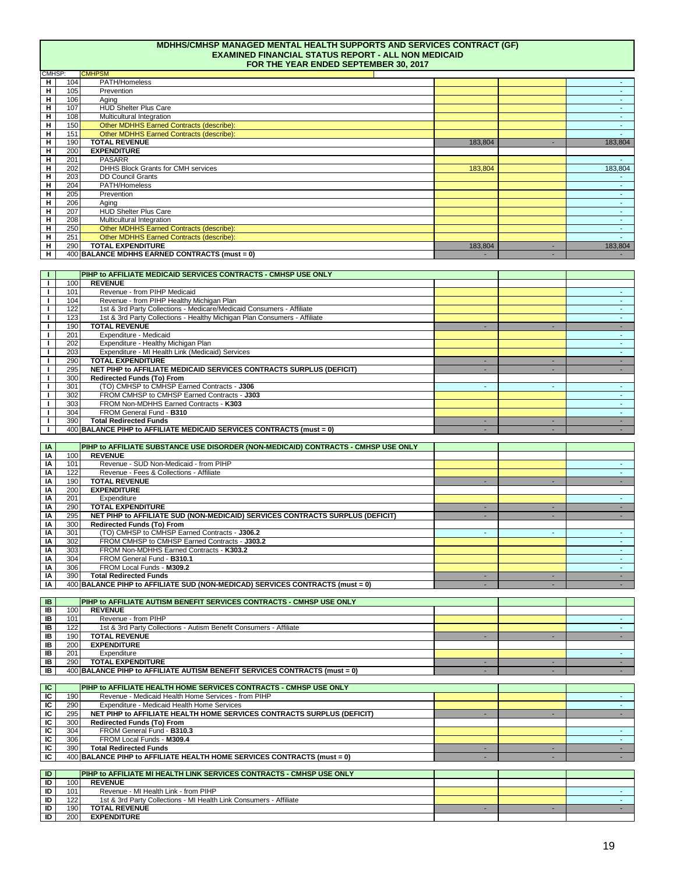|                              |            | <b>MDHHS/CMHSP MANAGED MENTAL HEALTH SUPPORTS AND SERVICES CONTRACT (GF)</b><br><b>EXAMINED FINANCIAL STATUS REPORT - ALL NON MEDICAID</b><br>FOR THE YEAR ENDED SEPTEMBER 30, 2017 |                          |                          |                          |
|------------------------------|------------|-------------------------------------------------------------------------------------------------------------------------------------------------------------------------------------|--------------------------|--------------------------|--------------------------|
| CMHSP:                       |            | <b>CMHPSM</b>                                                                                                                                                                       |                          |                          |                          |
| н<br>н                       | 104<br>105 | PATH/Homeless<br>Prevention                                                                                                                                                         |                          |                          | $\blacksquare$           |
| н                            | 106        | Aging                                                                                                                                                                               |                          |                          |                          |
| н                            | 107        | <b>HUD Shelter Plus Care</b>                                                                                                                                                        |                          |                          | $\sim$                   |
| н                            | 108        | Multicultural Integration                                                                                                                                                           |                          |                          | $\sim$                   |
| н                            | 150        | Other MDHHS Earned Contracts (describe):                                                                                                                                            |                          |                          | $\sim$                   |
| н<br>н                       | 151        | Other MDHHS Earned Contracts (describe):<br><b>TOTAL REVENUE</b>                                                                                                                    |                          |                          |                          |
| н                            | 190<br>200 | <b>EXPENDITURE</b>                                                                                                                                                                  | 183,804                  |                          | 183,804                  |
| н                            | 201        | <b>PASARR</b>                                                                                                                                                                       |                          |                          |                          |
| н                            | 202        | DHHS Block Grants for CMH services                                                                                                                                                  | 183,804                  |                          | 183,804                  |
| н                            | 203        | <b>DD Council Grants</b>                                                                                                                                                            |                          |                          |                          |
| н                            | 204        | PATH/Homeless                                                                                                                                                                       |                          |                          |                          |
| н                            | 205        | Prevention                                                                                                                                                                          |                          |                          | $\sim$                   |
| н<br>н                       | 206<br>207 | Aging<br><b>HUD Shelter Plus Care</b>                                                                                                                                               |                          |                          |                          |
| н                            | 208        | Multicultural Integration                                                                                                                                                           |                          |                          | $\sim$                   |
| н                            | 250        | Other MDHHS Earned Contracts (describe):                                                                                                                                            |                          |                          |                          |
| н                            | 251        | Other MDHHS Earned Contracts (describe):                                                                                                                                            |                          |                          | $\sim$                   |
| н                            | 290        | <b>TOTAL EXPENDITURE</b>                                                                                                                                                            | 183,804                  | ×.                       | 183,804                  |
| н                            |            | 400 BALANCE MDHHS EARNED CONTRACTS (must = 0)                                                                                                                                       |                          | $\overline{\phantom{a}}$ | $\sim$                   |
|                              |            |                                                                                                                                                                                     |                          |                          |                          |
| Т.                           |            | PIHP to AFFILIATE MEDICAID SERVICES CONTRACTS - CMHSP USE ONLY                                                                                                                      |                          |                          |                          |
| $\mathbf{I}$<br>$\mathbf{I}$ | 100<br>101 | <b>REVENUE</b><br>Revenue - from PIHP Medicaid                                                                                                                                      |                          |                          | $\sim$                   |
| J.                           | 104        | Revenue - from PIHP Healthy Michigan Plan                                                                                                                                           |                          |                          | $\sim$                   |
| I.                           | 122        | 1st & 3rd Party Collections - Medicare/Medicaid Consumers - Affiliate                                                                                                               |                          |                          |                          |
| $\mathbf{I}$                 | 123        | 1st & 3rd Party Collections - Healthy Michigan Plan Consumers - Affiliate                                                                                                           |                          |                          | $\sim$                   |
| $\mathbf{I}$                 | 190        | <b>TOTAL REVENUE</b>                                                                                                                                                                | ×                        |                          |                          |
| L.                           | 201        | Expenditure - Medicaid                                                                                                                                                              |                          |                          | $\sim$                   |
|                              | 202<br>203 | Expenditure - Healthy Michigan Plan                                                                                                                                                 |                          |                          | $\sim$<br>$\omega$       |
| I.<br>Ι.                     | 290        | Expenditure - MI Health Link (Medicaid) Services<br><b>TOTAL EXPENDITURE</b>                                                                                                        | $\sim$                   | $\overline{\phantom{a}}$ | $\sim$                   |
| I.                           | 295        | NET PIHP to AFFILIATE MEDICAID SERVICES CONTRACTS SURPLUS (DEFICIT)                                                                                                                 | $\overline{\phantom{a}}$ | $\blacksquare$           | $\sim$                   |
| Ι.                           | 300        | Redirected Funds (To) From                                                                                                                                                          |                          |                          |                          |
| J.                           | 301        | (TO) CMHSP to CMHSP Earned Contracts - J306                                                                                                                                         | ٠                        | $\overline{\phantom{a}}$ | $\sim$                   |
| I.                           | 302        | FROM CMHSP to CMHSP Earned Contracts - J303                                                                                                                                         |                          |                          | $\blacksquare$           |
| $\mathbf{I}$                 | 303        | FROM Non-MDHHS Earned Contracts - K303                                                                                                                                              |                          |                          | $\sim$                   |
| $\mathbf{I}$<br>$\mathbf{I}$ | 304<br>390 | FROM General Fund - B310<br><b>Total Redirected Funds</b>                                                                                                                           | ÷.                       | ×.                       | $\sim$<br>$\sim$         |
| J.                           |            | 400 BALANCE PIHP to AFFILIATE MEDICAID SERVICES CONTRACTS (must = 0)                                                                                                                | $\sim$                   | $\blacksquare$           | $\sim$                   |
|                              |            |                                                                                                                                                                                     |                          |                          |                          |
| IA                           |            | PIHP to AFFILIATE SUBSTANCE USE DISORDER (NON-MEDICAID) CONTRACTS - CMHSP USE ONLY                                                                                                  |                          |                          |                          |
| IA                           | 100        | <b>REVENUE</b>                                                                                                                                                                      |                          |                          |                          |
| ΙA                           | 101        | Revenue - SUD Non-Medicaid - from PIHP                                                                                                                                              |                          |                          | $\sim$                   |
| IA<br>ΙA                     | 122<br>190 | Revenue - Fees & Collections - Affiliate<br><b>TOTAL REVENUE</b>                                                                                                                    | $\sim$                   | $\sim$                   | $\sim$<br>$\sim$         |
| IA                           | 200        | <b>EXPENDITURE</b>                                                                                                                                                                  |                          |                          |                          |
| ΙA                           | 201        | Expenditure                                                                                                                                                                         |                          |                          | $\sim$                   |
| ΙA                           | 290        | <b>TOTAL EXPENDITURE</b>                                                                                                                                                            | ×.                       | ×.                       | $\sim$                   |
| IA                           | 295        | NET PIHP to AFFILIATE SUD (NON-MEDICAID) SERVICES CONTRACTS SURPLUS (DEFICIT)                                                                                                       | ٠                        | $\sim$                   | $\sim$                   |
| IA                           | 300        | Redirected Funds (To) From                                                                                                                                                          |                          |                          |                          |
| IA                           | 301        | (TO) CMHSP to CMHSP Earned Contracts - J306.2                                                                                                                                       | ٠                        |                          | $\sim$                   |
| ΙA<br>IA                     | 302<br>303 | FROM CMHSP to CMHSP Earned Contracts - J303.2<br>FROM Non-MDHHS Earned Contracts - K303.2                                                                                           |                          |                          | $\sim$                   |
| ΙA                           | 304        | FROM General Fund - B310.1                                                                                                                                                          |                          |                          | $\sim$                   |
| IA                           | 306        | FROM Local Funds - M309.2                                                                                                                                                           |                          |                          | $\mathbf{r}$             |
| IA                           | 390        | <b>Total Redirected Funds</b>                                                                                                                                                       | $\sim$                   | $\overline{\phantom{a}}$ | $\sim$                   |
| IA                           |            | 400 BALANCE PIHP to AFFILIATE SUD (NON-MEDICAD) SERVICES CONTRACTS (must = 0)                                                                                                       |                          |                          | $\sim$                   |
|                              |            |                                                                                                                                                                                     |                          |                          |                          |
| IB<br>IB                     | 100        | PIHP to AFFILIATE AUTISM BENEFIT SERVICES CONTRACTS - CMHSP USE ONLY<br><b>REVENUE</b>                                                                                              |                          |                          |                          |
| IB                           | 101        | Revenue - from PIHP                                                                                                                                                                 |                          |                          |                          |
| IB                           | 122        | 1st & 3rd Party Collections - Autism Benefit Consumers - Affiliate                                                                                                                  |                          |                          | $\sim$                   |
| IB                           | 190        | <b>TOTAL REVENUE</b>                                                                                                                                                                | ÷.                       | $\overline{\phantom{a}}$ | $\sim$                   |
| IB                           | 200        | <b>EXPENDITURE</b>                                                                                                                                                                  |                          |                          |                          |
| IB                           | 201        | Expenditure                                                                                                                                                                         |                          |                          | $\sim$                   |
| IB                           | 290        | <b>TOTAL EXPENDITURE</b>                                                                                                                                                            | $\sim$                   | $\sim$                   | $\sim$                   |
| IB                           |            | 400 BALANCE PIHP to AFFILIATE AUTISM BENEFIT SERVICES CONTRACTS (must = 0)                                                                                                          | ٠                        |                          | $\sim$                   |
| ΙC                           |            | PIHP to AFFILIATE HEALTH HOME SERVICES CONTRACTS - CMHSP USE ONLY                                                                                                                   |                          |                          |                          |
| ΙC                           | 190        | Revenue - Medicaid Health Home Services - from PIHP                                                                                                                                 |                          |                          | $\blacksquare$           |
| ΙC                           | 290        | Expenditure - Medicaid Health Home Services                                                                                                                                         |                          |                          | $\sim$                   |
| ΙC                           | 295        | NET PIHP to AFFILIATE HEALTH HOME SERVICES CONTRACTS SURPLUS (DEFICIT)                                                                                                              | $\blacksquare$           | $\overline{\phantom{a}}$ | $\sim$                   |
| ΙC                           | 300        | Redirected Funds (To) From                                                                                                                                                          |                          |                          |                          |
| ΙC                           | 304        | FROM General Fund - B310.3                                                                                                                                                          |                          |                          | ٠                        |
| ΙC<br>ΙC                     | 306<br>390 | FROM Local Funds - M309.4<br><b>Total Redirected Funds</b>                                                                                                                          | $\sim$                   | $\sim$                   | $\blacksquare$<br>$\sim$ |
| ΙC                           |            | 400 BALANCE PIHP to AFFILIATE HEALTH HOME SERVICES CONTRACTS (must = 0)                                                                                                             |                          |                          | $\sim$                   |
|                              |            |                                                                                                                                                                                     |                          |                          |                          |
| ID                           |            | PIHP to AFFILIATE MI HEALTH LINK SERVICES CONTRACTS - CMHSP USE ONLY                                                                                                                |                          |                          |                          |
| ID                           | 100        | <b>REVENUE</b>                                                                                                                                                                      |                          |                          |                          |
| ID                           | 101        | Revenue - MI Health Link - from PIHP                                                                                                                                                |                          |                          |                          |
| ID                           | 122        | 1st & 3rd Party Collections - MI Health Link Consumers - Affiliate                                                                                                                  |                          |                          | $\sim$                   |
| ID<br>ID                     | 190<br>200 | <b>TOTAL REVENUE</b><br><b>EXPENDITURE</b>                                                                                                                                          |                          | $\sim$                   | $\sim$                   |
|                              |            |                                                                                                                                                                                     |                          |                          |                          |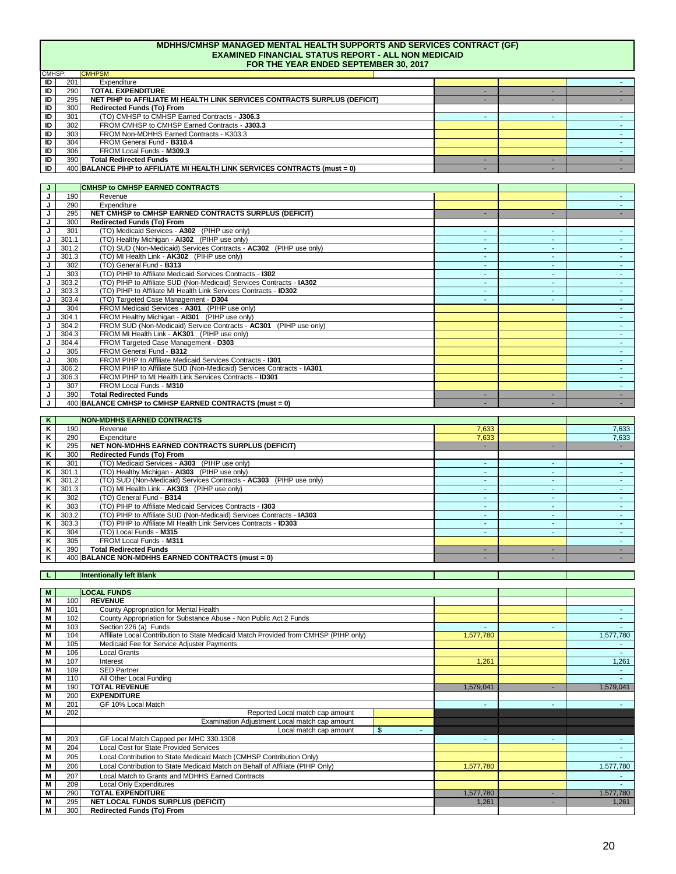| <b>MDHHS/CMHSP MANAGED MENTAL HEALTH SUPPORTS AND SERVICES CONTRACT (GF)</b><br><b>EXAMINED FINANCIAL STATUS REPORT - ALL NON MEDICAID</b><br>FOR THE YEAR ENDED SEPTEMBER 30, 2017 |                                                                            |  |  |  |  |  |  |  |  |
|-------------------------------------------------------------------------------------------------------------------------------------------------------------------------------------|----------------------------------------------------------------------------|--|--|--|--|--|--|--|--|
| CMHSP:                                                                                                                                                                              | <b>CMHPSM</b>                                                              |  |  |  |  |  |  |  |  |
| ID<br>201                                                                                                                                                                           | Expenditure                                                                |  |  |  |  |  |  |  |  |
| ID<br>290                                                                                                                                                                           | <b>TOTAL EXPENDITURE</b>                                                   |  |  |  |  |  |  |  |  |
| ID<br>295                                                                                                                                                                           | NET PIHP to AFFILIATE MI HEALTH LINK SERVICES CONTRACTS SURPLUS (DEFICIT)  |  |  |  |  |  |  |  |  |
| ID<br>300                                                                                                                                                                           | Redirected Funds (To) From                                                 |  |  |  |  |  |  |  |  |
| ID<br>301                                                                                                                                                                           | (TO) CMHSP to CMHSP Earned Contracts - J306.3                              |  |  |  |  |  |  |  |  |
| ID<br>302                                                                                                                                                                           | FROM CMHSP to CMHSP Earned Contracts - J303.3                              |  |  |  |  |  |  |  |  |
| ID<br>303                                                                                                                                                                           | FROM Non-MDHHS Earned Contracts - K303.3                                   |  |  |  |  |  |  |  |  |
| ID<br>304                                                                                                                                                                           | FROM General Fund - B310.4                                                 |  |  |  |  |  |  |  |  |
| ID<br>306                                                                                                                                                                           | FROM Local Funds - M309.3                                                  |  |  |  |  |  |  |  |  |
| ID<br>390                                                                                                                                                                           | <b>Total Redirected Funds</b>                                              |  |  |  |  |  |  |  |  |
| ID                                                                                                                                                                                  | 400 BALANCE PIHP to AFFILIATE MI HEALTH LINK SERVICES CONTRACTS (must = 0) |  |  |  |  |  |  |  |  |

|   |       | <b>CMHSP to CMHSP EARNED CONTRACTS</b>                               |        |  |
|---|-------|----------------------------------------------------------------------|--------|--|
| J | 190   | Revenue                                                              |        |  |
| J | 290   | Expenditure                                                          |        |  |
| J | 295   | NET CMHSP to CMHSP EARNED CONTRACTS SURPLUS (DEFICIT)                | ۰      |  |
| J | 300   | Redirected Funds (To) From                                           |        |  |
|   | 301   | (TO) Medicaid Services - A302 (PIHP use only)                        | ٠      |  |
| J | 301.1 | (TO) Healthy Michigan - AI302 (PIHP use only)                        | $\sim$ |  |
| J | 301.2 | (TO) SUD (Non-Medicaid) Services Contracts - AC302 (PIHP use only)   | ٠      |  |
| J | 301.3 | (TO) MI Health Link - AK302 (PIHP use only)                          | $\sim$ |  |
| J | 302   | (TO) General Fund - B313                                             | $\sim$ |  |
|   | 303   | (TO) PIHP to Affiliate Medicaid Services Contracts - 1302            | $\sim$ |  |
| J | 303.2 | (TO) PIHP to Affiliate SUD (Non-Medicaid) Services Contracts - IA302 | $\sim$ |  |
| J | 303.3 | (TO) PIHP to Affiliate MI Health Link Services Contracts - ID302     | $\sim$ |  |
|   | 303.4 | (TO) Targeted Case Management - D304                                 | $\sim$ |  |
|   | 304   | FROM Medicaid Services - A301 (PIHP use only)                        |        |  |
| J | 304.1 | FROM Healthy Michigan - AI301 (PIHP use only)                        |        |  |
| J | 304.2 | FROM SUD (Non-Medicaid) Service Contracts - AC301 (PIHP use only)    |        |  |
| J | 304.3 | FROM MI Health Link - AK301 (PIHP use only)                          |        |  |
| J | 304.4 | FROM Targeted Case Management - D303                                 |        |  |
|   | 305   | FROM General Fund - B312                                             |        |  |
|   | 306   | FROM PIHP to Affiliate Medicaid Services Contracts - 1301            |        |  |
| J | 306.2 | FROM PIHP to Affiliate SUD (Non-Medicaid) Services Contracts - IA301 |        |  |
| J | 306.3 | FROM PIHP to MI Health Link Services Contracts - ID301               |        |  |
| J | 307   | FROM Local Funds - M310                                              |        |  |
| J | 390   | <b>Total Redirected Funds</b>                                        | ۰      |  |
|   |       | 400 BALANCE CMHSP to CMHSP EARNED CONTRACTS (must = 0)               |        |  |

| ĸ |       | <b>INON-MDHHS EARNED CONTRACTS</b>                                   |       |                          |       |
|---|-------|----------------------------------------------------------------------|-------|--------------------------|-------|
| ĸ | 190   | Revenue                                                              | 7.633 |                          | 7,633 |
|   | 290   | Expenditure                                                          | 7.633 |                          | 7,633 |
| κ | 295   | NET NON-MDHHS EARNED CONTRACTS SURPLUS (DEFICIT)                     | -     |                          |       |
|   | 300   | Redirected Funds (To) From                                           |       |                          |       |
| κ | 301   | (TO) Medicaid Services - A303 (PIHP use only)                        | ۰     | $\overline{\phantom{a}}$ |       |
| Κ | 301.1 | (TO) Healthy Michigan - AI303 (PIHP use only)                        | ۰     | $\overline{\phantom{a}}$ |       |
| κ | 301.2 | (TO) SUD (Non-Medicaid) Services Contracts - AC303 (PIHP use only)   | ۰.    | $\overline{\phantom{a}}$ |       |
| ĸ | 301.3 | (TO) MI Health Link - AK303 (PIHP use only)                          |       |                          |       |
|   | 302   | (TO) General Fund - B314                                             | -     | -                        |       |
| Κ | 303   | (TO) PIHP to Affiliate Medicaid Services Contracts - 1303            | ۰.    |                          |       |
| ĸ | 303.2 | (TO) PIHP to Affiliate SUD (Non-Medicaid) Services Contracts - IA303 |       |                          |       |
| κ | 303.3 | (TO) PIHP to Affiliate MI Health Link Services Contracts - ID303     | -     | -                        |       |
| κ | 304   | (TO) Local Funds - M315                                              | -     | -                        |       |
| κ | 305   | FROM Local Funds - M311                                              |       |                          |       |
| ĸ | 390   | <b>Total Redirected Funds</b>                                        |       |                          |       |
| ĸ |       | 400 BALANCE NON-MDHHS EARNED CONTRACTS (must = 0)                    | -     | -                        |       |

#### **L Intentionally left Blank**

| M              |     | <b>LOCAL FUNDS</b>                                                                   |           |   |                          |
|----------------|-----|--------------------------------------------------------------------------------------|-----------|---|--------------------------|
| $\overline{M}$ | 100 | <b>REVENUE</b>                                                                       |           |   |                          |
| $\overline{M}$ | 101 | County Appropriation for Mental Health                                               |           |   |                          |
| M              | 102 | County Appropriation for Substance Abuse - Non Public Act 2 Funds                    |           |   |                          |
| $\overline{M}$ | 103 | Section 226 (a) Funds                                                                | ۰         | ٠ |                          |
| M              | 104 | Affiliate Local Contribution to State Medicaid Match Provided from CMHSP (PIHP only) | 1,577,780 |   | 1,577,780                |
| $\overline{M}$ | 105 | Medicaid Fee for Service Adjuster Payments                                           |           |   |                          |
| $\overline{M}$ | 106 | <b>Local Grants</b>                                                                  |           |   |                          |
| $\overline{M}$ | 107 | Interest                                                                             | 1,261     |   | 1,261                    |
| M              | 109 | <b>SED Partner</b>                                                                   |           |   | $\overline{\phantom{0}}$ |
| $\overline{M}$ | 110 | All Other Local Funding                                                              |           |   |                          |
| M              | 190 | <b>TOTAL REVENUE</b>                                                                 | 1,579,041 | ۰ | 1,579,041                |
| M              | 200 | <b>EXPENDITURE</b>                                                                   |           |   |                          |
| M              | 201 | GF 10% Local Match                                                                   | $\sim$    | ٠ | $\overline{\phantom{a}}$ |
| M              | 202 | Reported Local match cap amount                                                      |           |   |                          |
|                |     | Examination Adjustment Local match cap amount                                        |           |   |                          |
|                |     | $\mathfrak{s}$<br>Local match cap amount                                             |           |   |                          |
| M              | 203 | GF Local Match Capped per MHC 330.1308                                               | ٠         | ٠ |                          |
| M              | 204 | <b>Local Cost for State Provided Services</b>                                        |           |   | $\overline{\phantom{0}}$ |
| M              | 205 | Local Contribution to State Medicaid Match (CMHSP Contribution Only)                 |           |   |                          |
| M              | 206 | Local Contribution to State Medicaid Match on Behalf of Affiliate (PIHP Only)        | 1,577,780 |   | 1,577,780                |
| M              | 207 | Local Match to Grants and MDHHS Earned Contracts                                     |           |   |                          |
| M              | 209 | Local Only Expenditures                                                              |           |   |                          |
| $\overline{M}$ | 290 | <b>TOTAL EXPENDITURE</b>                                                             | 1,577,780 |   | 1,577,780                |
| M              | 295 | NET LOCAL FUNDS SURPLUS (DEFICIT)                                                    | 1,261     | ۰ | 1,261                    |
| $\overline{M}$ | 300 | Redirected Funds (To) From                                                           |           |   |                          |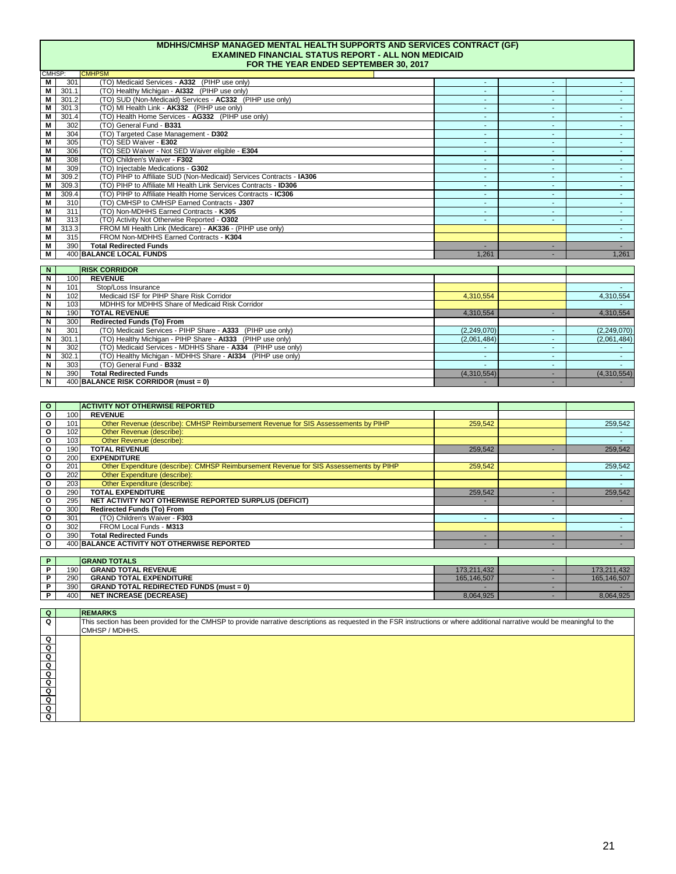#### **MDHHS/CMHSP MANAGED MENTAL HEALTH SUPPORTS AND SERVICES CONTRACT (GF) EXAMINED FINANCIAL STATUS REPORT - ALL NON MEDICAID FOR THE YEAR ENDED SEPTEMBER 30, 2017**

| CMHSP:         |       | <b>CMHPSM</b>                                                        |        |                          |       |
|----------------|-------|----------------------------------------------------------------------|--------|--------------------------|-------|
| M              | 301   | (TO) Medicaid Services - A332 (PIHP use only)                        | $\sim$ | $\overline{\phantom{a}}$ |       |
| M              | 301.1 | (TO) Healthy Michigan - AI332 (PIHP use only)                        | $\sim$ |                          |       |
| M              | 301.2 | (TO) SUD (Non-Medicaid) Services - AC332 (PIHP use only)             | $\sim$ |                          |       |
| M              | 301.3 | (TO) MI Health Link - AK332 (PIHP use only)                          | $\sim$ | $\overline{\phantom{0}}$ |       |
| M              | 301.4 | (TO) Health Home Services - AG332 (PIHP use only)                    | $\sim$ | $\overline{\phantom{a}}$ |       |
| M              | 302   | (TO) General Fund - B331                                             | $\sim$ | $\overline{\phantom{0}}$ |       |
| М              | 304   | (TO) Targeted Case Management - D302                                 | $\sim$ | $\overline{\phantom{a}}$ |       |
| М              | 305   | (TO) SED Waiver - E302                                               | $\sim$ | $\overline{\phantom{a}}$ |       |
| М              | 306   | (TO) SED Waiver - Not SED Waiver eligible - E304                     | $\sim$ | $\overline{\phantom{a}}$ |       |
| М              | 308   | (TO) Children's Waiver - F302                                        | $\sim$ |                          |       |
| M              | 309   | (TO) Injectable Medications - G302                                   | $\sim$ | $\overline{\phantom{a}}$ |       |
| M              | 309.2 | (TO) PIHP to Affiliate SUD (Non-Medicaid) Services Contracts - IA306 | $\sim$ | ۰                        |       |
| M              | 309.3 | (TO) PIHP to Affiliate MI Health Link Services Contracts - ID306     | $\sim$ | $\overline{\phantom{0}}$ |       |
| M              | 309.4 | (TO) PIHP to Affiliate Health Home Services Contracts - IC306        | $\sim$ | $\overline{\phantom{a}}$ |       |
| M              | 310   | (TO) CMHSP to CMHSP Earned Contracts - J307                          | $\sim$ | $\overline{\phantom{a}}$ |       |
| M              | 311   | (TO) Non-MDHHS Earned Contracts - K305                               | $\sim$ |                          |       |
| М              | 313   | (TO) Activity Not Otherwise Reported - 0302                          | $\sim$ | $\overline{\phantom{a}}$ | ۰.    |
| $\overline{M}$ | 313.3 | FROM MI Health Link (Medicare) - AK336 - (PIHP use only)             |        |                          |       |
| М              | 315   | FROM Non-MDHHS Earned Contracts - K304                               |        |                          |       |
| М              | 390   | <b>Total Redirected Funds</b>                                        |        | ٠                        |       |
| М              |       | <b>400 BALANCE LOCAL FUNDS</b>                                       | 1.261  |                          | 1,261 |

| N |       | <b>RISK CORRIDOR</b>                                        |             |   |             |
|---|-------|-------------------------------------------------------------|-------------|---|-------------|
| N | 100   | <b>REVENUE</b>                                              |             |   |             |
| N | 101   | Stop/Loss Insurance                                         |             |   |             |
| N | 102   | Medicaid ISF for PIHP Share Risk Corridor                   | 4,310,554   |   | 4,310,554   |
| N | 103   | MDHHS for MDHHS Share of Medicaid Risk Corridor             |             |   |             |
| N | 190   | <b>TOTAL REVENUE</b>                                        | 4,310,554   |   | 4,310,554   |
| N | 300   | Redirected Funds (To) From                                  |             |   |             |
| N | 301   | (TO) Medicaid Services - PIHP Share - A333 (PIHP use only)  | (2,249,070) |   | (2,249,070) |
| N | 301.1 | (TO) Healthy Michigan - PIHP Share - AI333 (PIHP use only)  | (2,061,484) |   | (2,061,484) |
| N | 302   | (TO) Medicaid Services - MDHHS Share - A334 (PIHP use only) |             |   |             |
| N | 302.1 | (TO) Healthy Michigan - MDHHS Share - AI334 (PIHP use only) |             | - |             |
| N | 303   | (TO) General Fund - B332                                    |             | - |             |
| N | 390   | <b>Total Redirected Funds</b>                               | (4,310,554) | - | (4,310,554) |
| N |       | 400 BALANCE RISK CORRIDOR (must = 0)                        |             |   |             |

| $\circ$      |                  | <b>ACTIVITY NOT OTHERWISE REPORTED</b>                                                 |                          |                          |             |
|--------------|------------------|----------------------------------------------------------------------------------------|--------------------------|--------------------------|-------------|
| O            | 100 <sub>l</sub> | <b>REVENUE</b>                                                                         |                          |                          |             |
| $\circ$      | 101              | Other Revenue (describe): CMHSP Reimbursement Revenue for SIS Assessements by PIHP     | 259,542                  |                          | 259,542     |
| O            | 102              | Other Revenue (describe):                                                              |                          |                          |             |
| O            | 103 <sup>1</sup> | Other Revenue (describe):                                                              |                          |                          |             |
| O            | 190              | <b>TOTAL REVENUE</b>                                                                   | 259,542                  |                          | 259,542     |
| O            | 200              | <b>EXPENDITURE</b>                                                                     |                          |                          |             |
| O            | 201              | Other Expenditure (describe): CMHSP Reimbursement Revenue for SIS Assessements by PIHP | 259,542                  |                          | 259,542     |
| о            | 202              | Other Expenditure (describe):                                                          |                          |                          |             |
| O            | 203              | Other Expenditure (describe):                                                          |                          |                          |             |
| O            | 290              | <b>TOTAL EXPENDITURE</b>                                                               | 259.542                  |                          | 259,542     |
| O            | 295              | NET ACTIVITY NOT OTHERWISE REPORTED SURPLUS (DEFICIT)                                  |                          |                          |             |
| O            | 300              | Redirected Funds (To) From                                                             |                          |                          |             |
| о            | 301              | (TO) Children's Waiver - F303                                                          | $\overline{\phantom{a}}$ | $\overline{\phantom{a}}$ |             |
| O            | 302              | FROM Local Funds - M313                                                                |                          |                          |             |
| O            | 390              | <b>Total Redirected Funds</b>                                                          |                          |                          |             |
| $\mathbf{o}$ |                  | 400 BALANCE ACTIVITY NOT OTHERWISE REPORTED                                            |                          |                          |             |
|              |                  |                                                                                        |                          |                          |             |
| P            |                  | <b>GRAND TOTALS</b>                                                                    |                          |                          |             |
| P            | 190              | <b>GRAND TOTAL REVENUE</b>                                                             | 173,211,432              |                          | 173,211,432 |
| P            | 290              | <b>GRAND TOTAL EXPENDITURE</b>                                                         | 165,146,507              |                          | 165,146,507 |
| P            | 390              | <b>GRAND TOTAL REDIRECTED FUNDS (must = 0)</b>                                         |                          |                          |             |
| P            | 400              | <b>NET INCREASE (DECREASE)</b>                                                         | 8,064,925                |                          | 8,064,925   |

| Q                    | <b>REMARKS</b>                                                                                                                                                                                 |
|----------------------|------------------------------------------------------------------------------------------------------------------------------------------------------------------------------------------------|
| $\Omega$             | This section has been provided for the CMHSP to provide narrative descriptions as requested in the FSR instructions or where additional narrative would be meaningful to the<br>CMHSP / MDHHS. |
| Q                    |                                                                                                                                                                                                |
| Q                    |                                                                                                                                                                                                |
| $\overline{Q}$       |                                                                                                                                                                                                |
|                      |                                                                                                                                                                                                |
|                      |                                                                                                                                                                                                |
|                      |                                                                                                                                                                                                |
| a <mark>a a a</mark> |                                                                                                                                                                                                |
|                      |                                                                                                                                                                                                |
| ত                    |                                                                                                                                                                                                |
| ō                    |                                                                                                                                                                                                |
|                      |                                                                                                                                                                                                |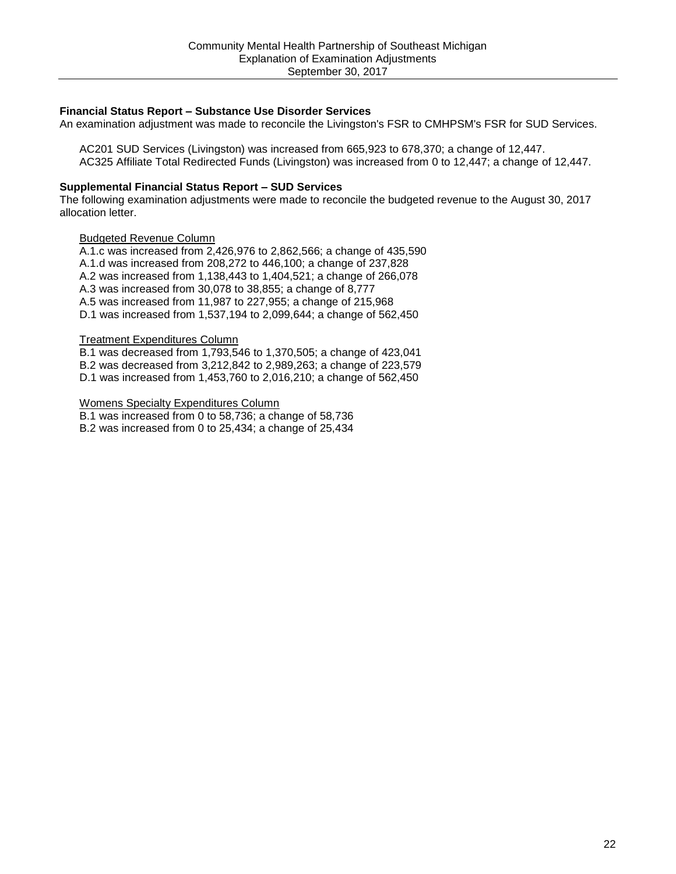# **Financial Status Report – Substance Use Disorder Services**

An examination adjustment was made to reconcile the Livingston's FSR to CMHPSM's FSR for SUD Services.

 AC201 SUD Services (Livingston) was increased from 665,923 to 678,370; a change of 12,447. AC325 Affiliate Total Redirected Funds (Livingston) was increased from 0 to 12,447; a change of 12,447.

# **Supplemental Financial Status Report – SUD Services**

The following examination adjustments were made to reconcile the budgeted revenue to the August 30, 2017 allocation letter.

# Budgeted Revenue Column

A.1.c was increased from 2,426,976 to 2,862,566; a change of 435,590 A.1.d was increased from 208,272 to 446,100; a change of 237,828 A.2 was increased from 1,138,443 to 1,404,521; a change of 266,078 A.3 was increased from 30,078 to 38,855; a change of 8,777 A.5 was increased from 11,987 to 227,955; a change of 215,968 D.1 was increased from 1,537,194 to 2,099,644; a change of 562,450

# Treatment Expenditures Column

B.1 was decreased from 1,793,546 to 1,370,505; a change of 423,041 B.2 was decreased from 3,212,842 to 2,989,263; a change of 223,579 D.1 was increased from 1,453,760 to 2,016,210; a change of 562,450

## Womens Specialty Expenditures Column

B.1 was increased from 0 to 58,736; a change of 58,736 B.2 was increased from 0 to 25,434; a change of 25,434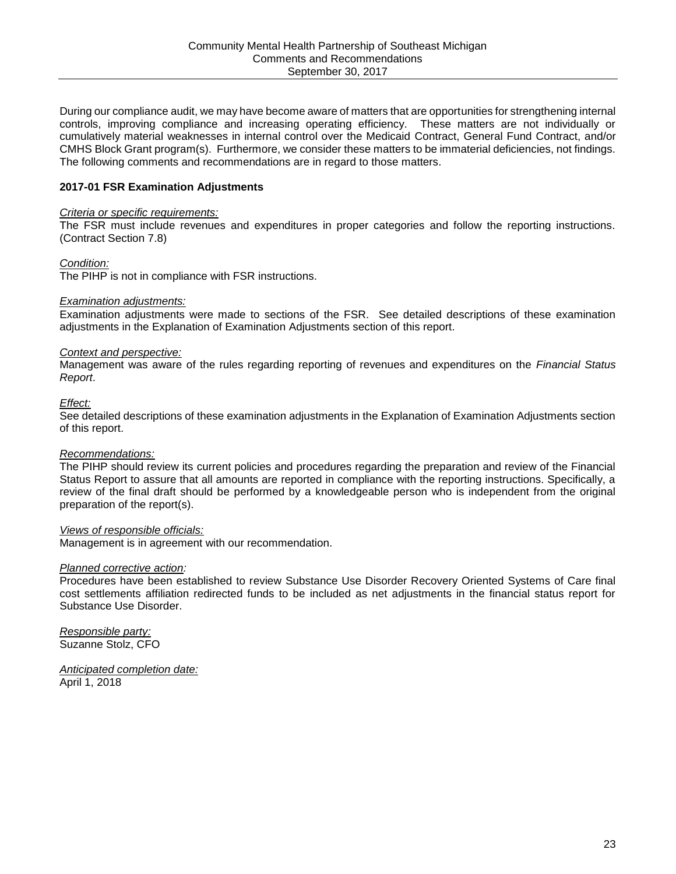During our compliance audit, we may have become aware of matters that are opportunities for strengthening internal controls, improving compliance and increasing operating efficiency. These matters are not individually or cumulatively material weaknesses in internal control over the Medicaid Contract, General Fund Contract, and/or CMHS Block Grant program(s). Furthermore, we consider these matters to be immaterial deficiencies, not findings. The following comments and recommendations are in regard to those matters.

# **2017-01 FSR Examination Adjustments**

## *Criteria or specific requirements:*

The FSR must include revenues and expenditures in proper categories and follow the reporting instructions. (Contract Section 7.8)

### *Condition:*

The PIHP is not in compliance with FSR instructions.

### *Examination adjustments:*

Examination adjustments were made to sections of the FSR. See detailed descriptions of these examination adjustments in the Explanation of Examination Adjustments section of this report.

## *Context and perspective:*

Management was aware of the rules regarding reporting of revenues and expenditures on the *Financial Status Report*.

#### *Effect:*

See detailed descriptions of these examination adjustments in the Explanation of Examination Adjustments section of this report.

## *Recommendations:*

The PIHP should review its current policies and procedures regarding the preparation and review of the Financial Status Report to assure that all amounts are reported in compliance with the reporting instructions. Specifically, a review of the final draft should be performed by a knowledgeable person who is independent from the original preparation of the report(s).

## *Views of responsible officials:*

Management is in agreement with our recommendation.

#### *Planned corrective action:*

Procedures have been established to review Substance Use Disorder Recovery Oriented Systems of Care final cost settlements affiliation redirected funds to be included as net adjustments in the financial status report for Substance Use Disorder.

*Responsible party:*  Suzanne Stolz, CFO

*Anticipated completion date:*  April 1, 2018